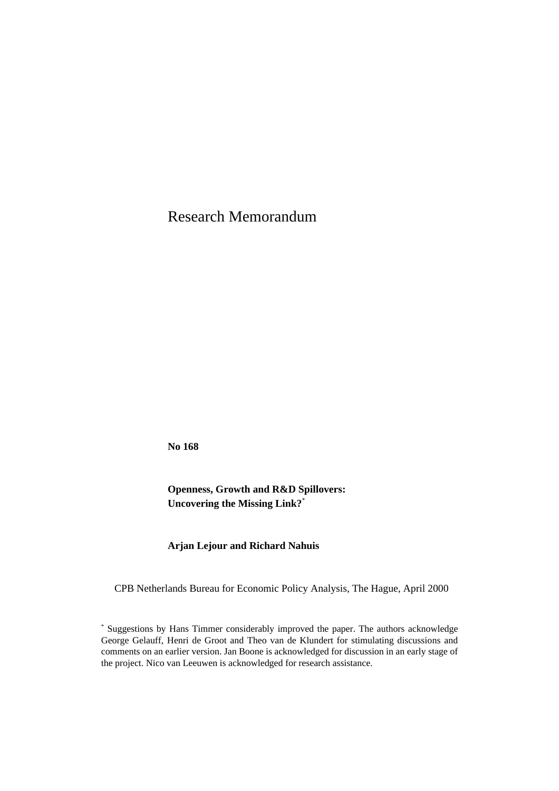Research Memorandum

**No 168** 

**Openness, Growth and R&D Spillovers: Uncovering the Missing Link?**\*

**Arjan Lejour and Richard Nahuis**

CPB Netherlands Bureau for Economic Policy Analysis, The Hague, April 2000

<sup>\*</sup> Suggestions by Hans Timmer considerably improved the paper. The authors acknowledge George Gelauff, Henri de Groot and Theo van de Klundert for stimulating discussions and comments on an earlier version. Jan Boone is acknowledged for discussion in an early stage of the project. Nico van Leeuwen is acknowledged for research assistance.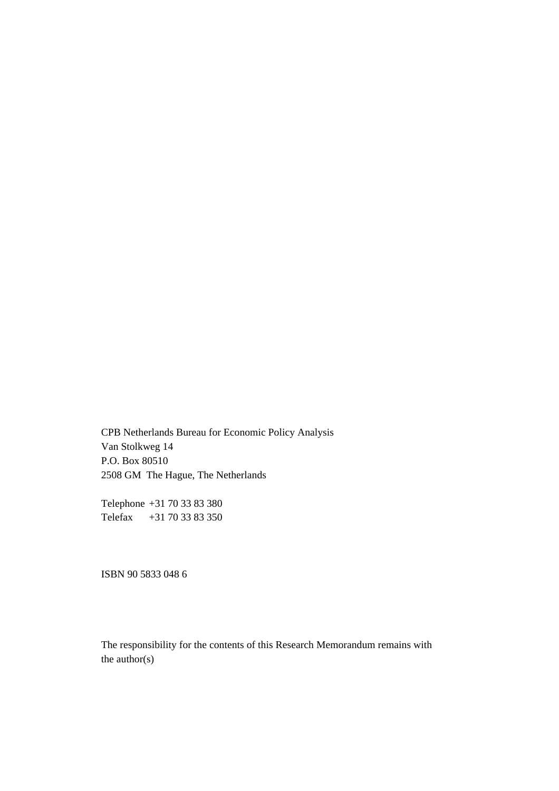CPB Netherlands Bureau for Economic Policy Analysis Van Stolkweg 14 P.O. Box 80510 2508 GM The Hague, The Netherlands

Telephone +31 70 33 83 380 Telefax +31 70 33 83 350

ISBN 90 5833 048 6

The responsibility for the contents of this Research Memorandum remains with the author(s)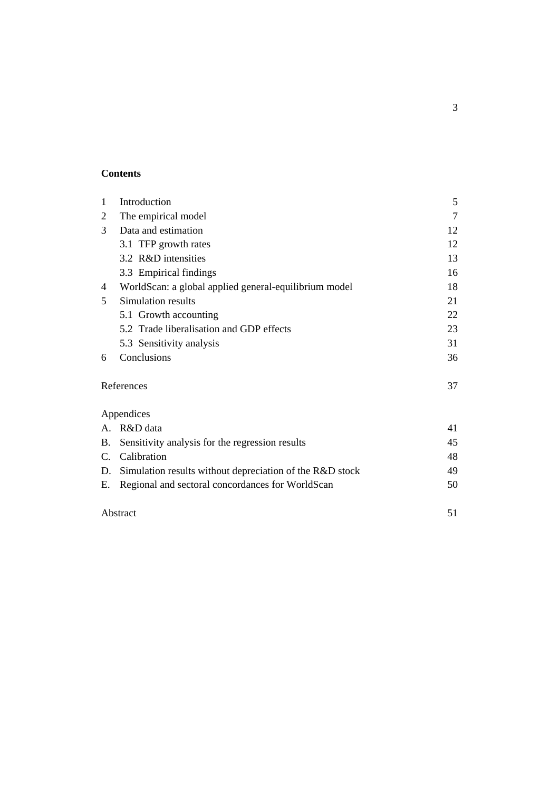# **Contents**

| 1  | Introduction                                             | 5              |
|----|----------------------------------------------------------|----------------|
| 2  | The empirical model                                      | $\overline{7}$ |
| 3  | Data and estimation                                      | 12             |
|    | 3.1 TFP growth rates                                     | 12             |
|    | 3.2 R&D intensities                                      | 13             |
|    | 3.3 Empirical findings                                   | 16             |
| 4  | WorldScan: a global applied general-equilibrium model    | 18             |
| 5  | Simulation results                                       | 21             |
|    | 5.1 Growth accounting                                    | 22             |
|    | 5.2 Trade liberalisation and GDP effects                 | 23             |
|    | 5.3 Sensitivity analysis                                 | 31             |
| 6  | Conclusions                                              | 36             |
|    | References                                               | 37             |
|    | Appendices                                               |                |
|    | A. R&D data                                              | 41             |
| B. | Sensitivity analysis for the regression results          | 45             |
| C. | Calibration                                              | 48             |
| D. | Simulation results without depreciation of the R&D stock | 49             |
| Е. | Regional and sectoral concordances for WorldScan         | 50             |
|    | Abstract                                                 | 51             |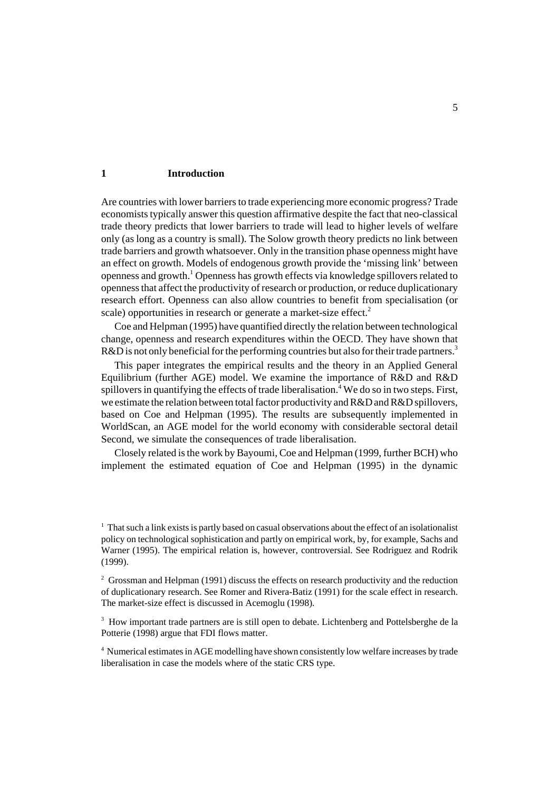### **1 Introduction**

Are countries with lower barriers to trade experiencing more economic progress? Trade economists typically answer this question affirmative despite the fact that neo-classical trade theory predicts that lower barriers to trade will lead to higher levels of welfare only (as long as a country is small). The Solow growth theory predicts no link between trade barriers and growth whatsoever. Only in the transition phase openness might have an effect on growth. Models of endogenous growth provide the 'missing link' between openness and growth.<sup>1</sup> Openness has growth effects via knowledge spillovers related to openness that affect the productivity of research or production, or reduce duplicationary research effort. Openness can also allow countries to benefit from specialisation (or scale) opportunities in research or generate a market-size effect.<sup>2</sup>

Coe and Helpman (1995) have quantified directly the relation between technological change, openness and research expenditures within the OECD. They have shown that R&D is not only beneficial for the performing countries but also for their trade partners.<sup>3</sup>

This paper integrates the empirical results and the theory in an Applied General Equilibrium (further AGE) model. We examine the importance of R&D and R&D spillovers in quantifying the effects of trade liberalisation.<sup>4</sup> We do so in two steps. First, we estimate the relation between total factor productivity and R&D and R&D spillovers, based on Coe and Helpman (1995). The results are subsequently implemented in WorldScan, an AGE model for the world economy with considerable sectoral detail Second, we simulate the consequences of trade liberalisation.

Closely related is the work by Bayoumi, Coe and Helpman (1999, further BCH) who implement the estimated equation of Coe and Helpman (1995) in the dynamic

<sup>&</sup>lt;sup>1</sup> That such a link exists is partly based on casual observations about the effect of an isolationalist policy on technological sophistication and partly on empirical work, by, for example, Sachs and Warner (1995). The empirical relation is, however, controversial. See Rodriguez and Rodrik (1999).

 $2^2$  Grossman and Helpman (1991) discuss the effects on research productivity and the reduction of duplicationary research. See Romer and Rivera-Batiz (1991) for the scale effect in research. The market-size effect is discussed in Acemoglu (1998).

<sup>&</sup>lt;sup>3</sup> How important trade partners are is still open to debate. Lichtenberg and Pottelsberghe de la Potterie (1998) argue that FDI flows matter.

<sup>&</sup>lt;sup>4</sup> Numerical estimates in AGE modelling have shown consistently low welfare increases by trade liberalisation in case the models where of the static CRS type.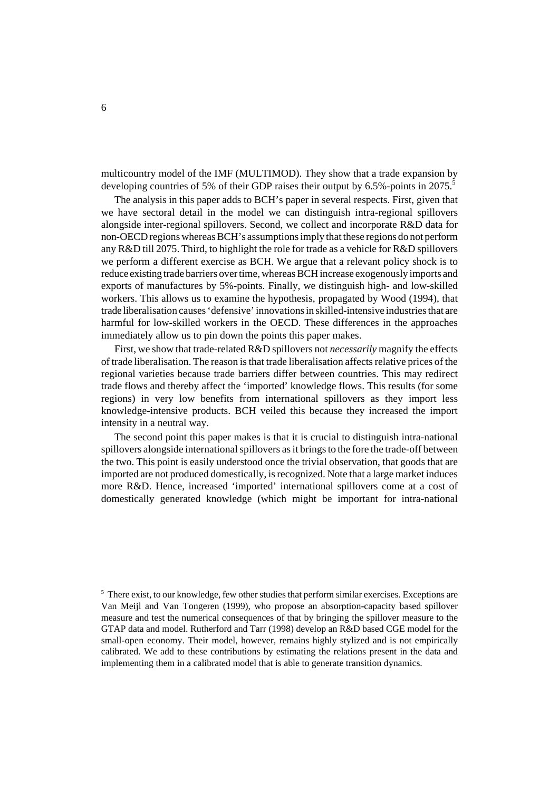multicountry model of the IMF (MULTIMOD). They show that a trade expansion by developing countries of 5% of their GDP raises their output by 6.5%-points in 2075.<sup>5</sup>

The analysis in this paper adds to BCH's paper in several respects. First, given that we have sectoral detail in the model we can distinguish intra-regional spillovers alongside inter-regional spillovers. Second, we collect and incorporate R&D data for non-OECD regions whereas BCH's assumptions imply that these regions do not perform any R&D till 2075. Third, to highlight the role for trade as a vehicle for R&D spillovers we perform a different exercise as BCH. We argue that a relevant policy shock is to reduce existing trade barriers over time, whereas BCH increase exogenously imports and exports of manufactures by 5%-points. Finally, we distinguish high- and low-skilled workers. This allows us to examine the hypothesis, propagated by Wood (1994), that trade liberalisation causes 'defensive' innovations in skilled-intensive industries that are harmful for low-skilled workers in the OECD. These differences in the approaches immediately allow us to pin down the points this paper makes.

First, we show that trade-related R&D spillovers not *necessarily* magnify the effects of trade liberalisation. The reason is that trade liberalisation affects relative prices of the regional varieties because trade barriers differ between countries. This may redirect trade flows and thereby affect the 'imported' knowledge flows. This results (for some regions) in very low benefits from international spillovers as they import less knowledge-intensive products. BCH veiled this because they increased the import intensity in a neutral way.

The second point this paper makes is that it is crucial to distinguish intra-national spillovers alongside international spillovers as it brings to the fore the trade-off between the two. This point is easily understood once the trivial observation, that goods that are imported are not produced domestically, is recognized. Note that a large market induces more R&D. Hence, increased 'imported' international spillovers come at a cost of domestically generated knowledge (which might be important for intra-national

<sup>&</sup>lt;sup>5</sup> There exist, to our knowledge, few other studies that perform similar exercises. Exceptions are Van Meijl and Van Tongeren (1999), who propose an absorption-capacity based spillover measure and test the numerical consequences of that by bringing the spillover measure to the GTAP data and model. Rutherford and Tarr (1998) develop an R&D based CGE model for the small-open economy. Their model, however, remains highly stylized and is not empirically calibrated. We add to these contributions by estimating the relations present in the data and implementing them in a calibrated model that is able to generate transition dynamics.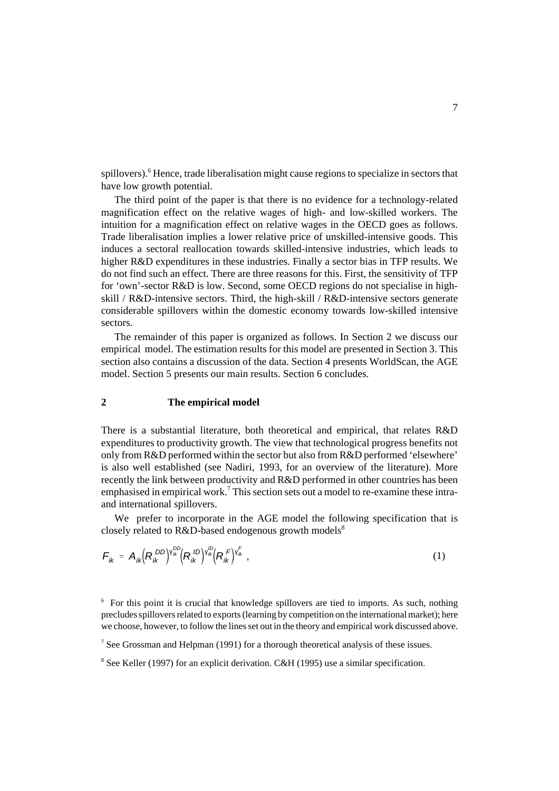spillovers).<sup>6</sup> Hence, trade liberalisation might cause regions to specialize in sectors that have low growth potential.

The third point of the paper is that there is no evidence for a technology-related magnification effect on the relative wages of high- and low-skilled workers. The intuition for a magnification effect on relative wages in the OECD goes as follows. Trade liberalisation implies a lower relative price of unskilled-intensive goods. This induces a sectoral reallocation towards skilled-intensive industries, which leads to higher R&D expenditures in these industries. Finally a sector bias in TFP results. We do not find such an effect. There are three reasons for this. First, the sensitivity of TFP for 'own'-sector R&D is low. Second, some OECD regions do not specialise in highskill / R&D-intensive sectors. Third, the high-skill / R&D-intensive sectors generate considerable spillovers within the domestic economy towards low-skilled intensive sectors.

The remainder of this paper is organized as follows. In Section 2 we discuss our empirical model. The estimation results for this model are presented in Section 3. This section also contains a discussion of the data. Section 4 presents WorldScan, the AGE model. Section 5 presents our main results. Section 6 concludes.

# **2 The empirical model**

There is a substantial literature, both theoretical and empirical, that relates R&D expenditures to productivity growth. The view that technological progress benefits not only from R&D performed within the sector but also from R&D performed 'elsewhere' is also well established (see Nadiri, 1993, for an overview of the literature). More recently the link between productivity and R&D performed in other countries has been emphasised in empirical work.<sup>7</sup> This section sets out a model to re-examine these intraand international spillovers.

We prefer to incorporate in the AGE model the following specification that is closely related to  $R&D$ -based endogenous growth models<sup>8</sup>

$$
F_{ik} = A_{ik} (R_{ik}^{DD})^{\mathsf{V}_{ik}^{DD}} (R_{ik}^{ID})^{\mathsf{V}_{ik}^{ID}} (R_{ik}^{F})^{\mathsf{V}_{ik}^{F}} , \qquad (1)
$$

<sup>&</sup>lt;sup>6</sup> For this point it is crucial that knowledge spillovers are tied to imports. As such, nothing precludes spillovers related to exports (learning by competition on the international market); here we choose, however, to follow the lines set out in the theory and empirical work discussed above.

<sup>&</sup>lt;sup>7</sup> See Grossman and Helpman (1991) for a thorough theoretical analysis of these issues.

<sup>&</sup>lt;sup>8</sup> See Keller (1997) for an explicit derivation. C&H (1995) use a similar specification.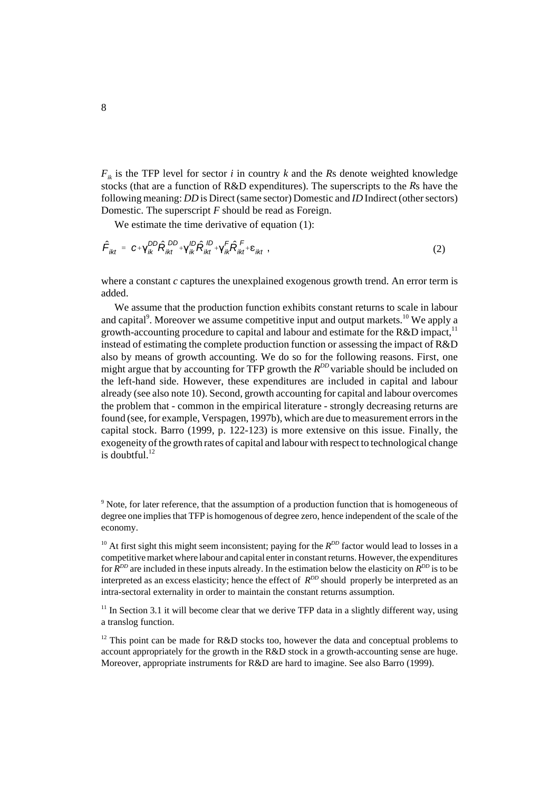$F_{ik}$  is the TFP level for sector *i* in country *k* and the *R*s denote weighted knowledge stocks (that are a function of R&D expenditures). The superscripts to the *R*s have the following meaning: *DD* is Direct (same sector) Domestic and *ID* Indirect (other sectors) Domestic. The superscript *F* should be read as Foreign.

We estimate the time derivative of equation (1):

$$
\hat{\mathbf{F}}_{ikt} = \mathbf{c} + \mathbf{Y}_{ik}^{DD} \hat{\mathbf{R}}_{ikt}^{DD} + \mathbf{Y}_{ik}^{ID} \hat{\mathbf{R}}_{ikt}^{ID} + \mathbf{Y}_{ik}^{T} \hat{\mathbf{R}}_{ikt}^{F} + \varepsilon_{ikt} \tag{2}
$$

where a constant *c* captures the unexplained exogenous growth trend. An error term is added.

We assume that the production function exhibits constant returns to scale in labour and capital<sup>9</sup>. Moreover we assume competitive input and output markets.<sup>10</sup> We apply a growth-accounting procedure to capital and labour and estimate for the  $R&D$  impact,<sup>11</sup> instead of estimating the complete production function or assessing the impact of R&D also by means of growth accounting. We do so for the following reasons. First, one might argue that by accounting for TFP growth the  $R^{DD}$  variable should be included on the left-hand side. However, these expenditures are included in capital and labour already (see also note 10). Second, growth accounting for capital and labour overcomes the problem that - common in the empirical literature - strongly decreasing returns are found (see, for example, Verspagen, 1997b), which are due to measurement errors in the capital stock. Barro (1999, p. 122-123) is more extensive on this issue. Finally, the exogeneity of the growth rates of capital and labour with respect to technological change is doubtful. $^{12}$ 

 $11$  In Section 3.1 it will become clear that we derive TFP data in a slightly different way, using a translog function.

 $12$  This point can be made for R&D stocks too, however the data and conceptual problems to account appropriately for the growth in the R&D stock in a growth-accounting sense are huge. Moreover, appropriate instruments for R&D are hard to imagine. See also Barro (1999).

<sup>&</sup>lt;sup>9</sup> Note, for later reference, that the assumption of a production function that is homogeneous of degree one implies that TFP is homogenous of degree zero, hence independent of the scale of the economy.

<sup>&</sup>lt;sup>10</sup> At first sight this might seem inconsistent; paying for the  $R^{DD}$  factor would lead to losses in a competitive market where labour and capital enter in constant returns. However, the expenditures for *RDD* are included in these inputs already. In the estimation below the elasticity on *RDD* is to be interpreted as an excess elasticity; hence the effect of  $R^{DD}$  should properly be interpreted as an intra-sectoral externality in order to maintain the constant returns assumption.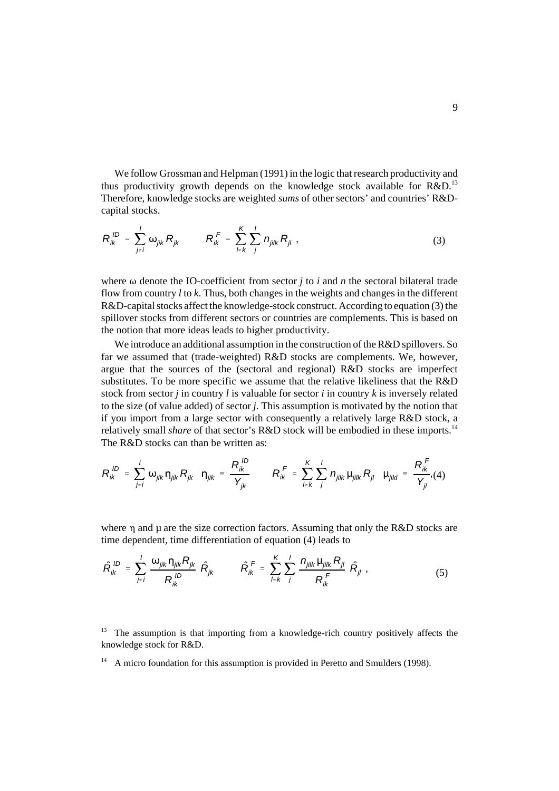We follow Grossman and Helpman (1991) in the logic that research productivity and thus productivity growth depends on the knowledge stock available for  $R\&D$ <sup>13</sup> Therefore, knowledge stocks are weighted *sums* of other sectors' and countries' R&Dcapital stocks.

$$
R_{ik}^{ID} = \sum_{j \neq i}^{I} \omega_{jik} R_{jk} \qquad R_{ik}^{F} = \sum_{l \neq k}^{K} \sum_{j}^{I} n_{jilk} R_{jl} , \qquad (3)
$$

where  $\omega$  denote the IO-coefficient from sector *j* to *i* and *n* the sectoral bilateral trade flow from country *l* to *k*. Thus, both changes in the weights and changes in the different R&D-capital stocks affect the knowledge-stock construct. According to equation (3) the spillover stocks from different sectors or countries are complements. This is based on the notion that more ideas leads to higher productivity.

We introduce an additional assumption in the construction of the R&D spillovers. So far we assumed that (trade-weighted) R&D stocks are complements. We, however, argue that the sources of the (sectoral and regional) R&D stocks are imperfect substitutes. To be more specific we assume that the relative likeliness that the R&D stock from sector *j* in country *l* is valuable for sector *i* in country *k* is inversely related to the size (of value added) of sector *j*. This assumption is motivated by the notion that if you import from a large sector with consequently a relatively large R&D stock, a relatively small *share* of that sector's R&D stock will be embodied in these imports.<sup>14</sup> The R&D stocks can than be written as:

$$
R_{ik}^{ID} = \sum_{j \neq i}^{I} \omega_{jik} \eta_{jik} R_{jk} \quad \eta_{jik} = \frac{R_{ik}^{ID}}{Y_{jk}} \qquad R_{ik}^{F} = \sum_{l \neq k}^{K} \sum_{j}^{I} n_{jilk} \mu_{jilk} R_{jl} \quad \mu_{jikl} = \frac{R_{ik}^{F}}{Y_{jl}} (4)
$$

where  $\eta$  and  $\mu$  are the size correction factors. Assuming that only the R&D stocks are time dependent, time differentiation of equation (4) leads to

$$
\hat{R}_{ik}^{ID} = \sum_{j \neq i}^{I} \frac{\omega_{jik} \eta_{jik} R_{jk}}{R_{ik}^{ID}} \hat{R}_{jk} \qquad \hat{R}_{ik}^{F} = \sum_{l \neq k}^{K} \sum_{j}^{I} \frac{n_{jilk} \mu_{jilk} R_{jl}}{R_{ik}^{F}} \hat{R}_{jl} \tag{5}
$$

 $13$  The assumption is that importing from a knowledge-rich country positively affects the knowledge stock for R&D.

 $14$  A micro foundation for this assumption is provided in Peretto and Smulders (1998).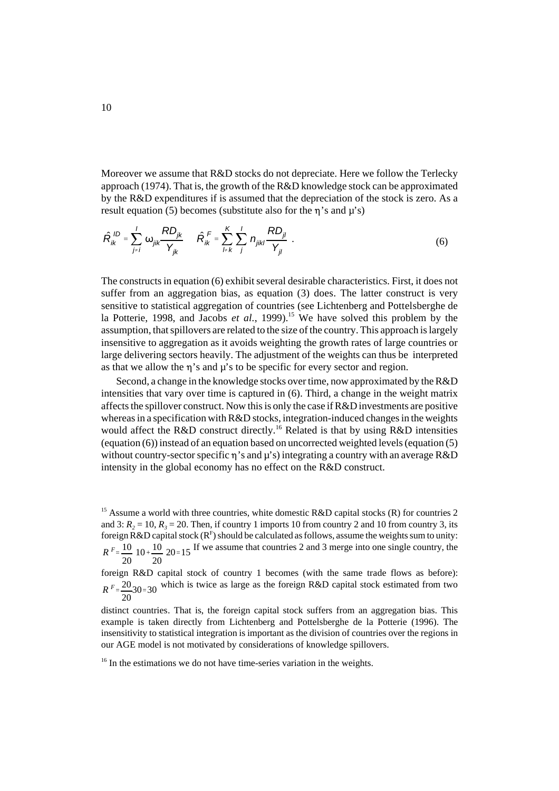Moreover we assume that R&D stocks do not depreciate. Here we follow the Terlecky approach (1974). That is, the growth of the R&D knowledge stock can be approximated by the R&D expenditures if is assumed that the depreciation of the stock is zero. As a result equation (5) becomes (substitute also for the  $\eta$ 's and  $\mu$ 's)

$$
\hat{R}_{ik}^{ID} = \sum_{j \neq i}^{I} \omega_{jik} \frac{R D_{jk}}{Y_{jk}} \quad \hat{R}_{ik}^{F} = \sum_{l \neq k}^{K} \sum_{j}^{I} n_{jikl} \frac{R D_{jl}}{Y_{jl}} \quad .
$$
 (6)

The constructs in equation (6) exhibit several desirable characteristics. First, it does not suffer from an aggregation bias, as equation (3) does. The latter construct is very sensitive to statistical aggregation of countries (see Lichtenberg and Pottelsberghe de la Potterie, 1998, and Jacobs *et al.*, 1999).<sup>15</sup> We have solved this problem by the assumption, that spillovers are related to the size of the country. This approach is largely insensitive to aggregation as it avoids weighting the growth rates of large countries or large delivering sectors heavily. The adjustment of the weights can thus be interpreted as that we allow the  $\eta$ 's and  $\mu$ 's to be specific for every sector and region.

 Second, a change in the knowledge stocks over time, now approximated by the R&D intensities that vary over time is captured in (6). Third, a change in the weight matrix affects the spillover construct. Now this is only the case if R&D investments are positive whereas in a specification with R&D stocks, integration-induced changes in the weights would affect the R&D construct directly.<sup>16</sup> Related is that by using R&D intensities (equation (6)) instead of an equation based on uncorrected weighted levels (equation (5) without country-sector specific  $\eta$ 's and  $\mu$ 's) integrating a country with an average R&D intensity in the global economy has no effect on the R&D construct.

<sup>15</sup> Assume a world with three countries, white domestic R&D capital stocks (R) for countries 2 and 3:  $R_2 = 10$ ,  $R_3 = 20$ . Then, if country 1 imports 10 from country 2 and 10 from country 3, its foreign R&D capital stock ( $\mathbb{R}^F$ ) should be calculated as follows, assume the weights sum to unity:  $R^F = \frac{10}{20}$  10 +  $\frac{10}{20}$  20 = 15 <sup>If</sup> we assume that countries 2 and 3 merge into one single country, the 10 $+10$ 20  $20=15$ 

foreign R&D capital stock of country 1 becomes (with the same trade flows as before):  $R F = \frac{20}{20}$ 30=30 which is twice as large as the foreign R&D capital stock estimated from two  $30=30$ 

distinct countries. That is, the foreign capital stock suffers from an aggregation bias. This example is taken directly from Lichtenberg and Pottelsberghe de la Potterie (1996). The insensitivity to statistical integration is important as the division of countries over the regions in our AGE model is not motivated by considerations of knowledge spillovers.

<sup>&</sup>lt;sup>16</sup> In the estimations we do not have time-series variation in the weights.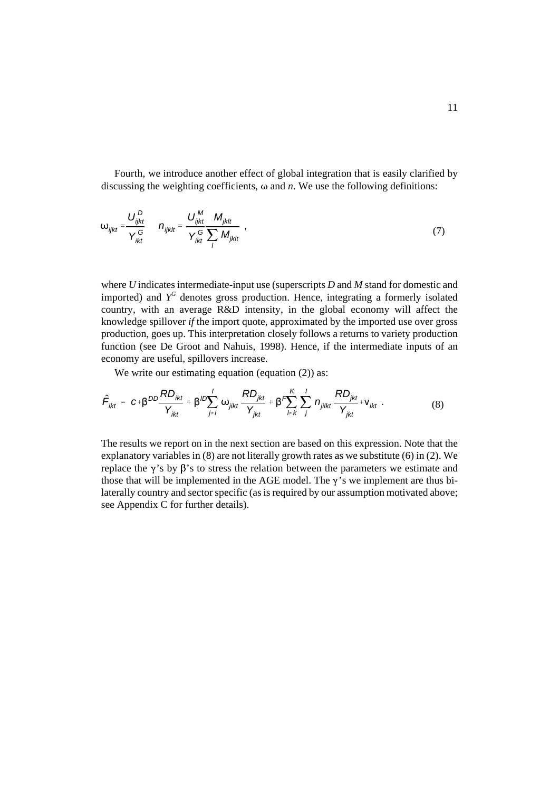Fourth, we introduce another effect of global integration that is easily clarified by discussing the weighting coefficients,  $\omega$  and *n*. We use the following definitions:

$$
\omega_{ijkt} = \frac{U_{ijkt}^D}{Y_{jkt}^G} \qquad n_{ijklt} = \frac{U_{ijkt}^M}{Y_{jkt}^G} \frac{M_{jktt}}{Y_{jkt}} ,
$$
\n(7)

where *U* indicates intermediate-input use (superscripts *D* and *M* stand for domestic and imported) and *YG* denotes gross production. Hence, integrating a formerly isolated country, with an average R&D intensity, in the global economy will affect the knowledge spillover *if* the import quote, approximated by the imported use over gross production, goes up. This interpretation closely follows a returns to variety production function (see De Groot and Nahuis, 1998). Hence, if the intermediate inputs of an economy are useful, spillovers increase.

We write our estimating equation (equation (2)) as:

$$
\hat{F}_{ikt} = c + \beta^{DD} \frac{RD_{ikt}}{Y_{ikt}} + \beta^{ID} \sum_{j \neq i}^{I} \omega_{jikt} \frac{RD_{jkt}}{Y_{jkt}} + \beta^{F} \sum_{l \neq k}^{K} \sum_{j}^{I} n_{jilkt} \frac{RD_{jkt}}{Y_{jkt}} + V_{ikt}.
$$
\n(8)

The results we report on in the next section are based on this expression. Note that the explanatory variables in (8) are not literally growth rates as we substitute (6) in (2). We replace the  $\gamma$ 's by  $\beta$ 's to stress the relation between the parameters we estimate and those that will be implemented in the AGE model. The  $\gamma$ 's we implement are thus bilaterally country and sector specific (as is required by our assumption motivated above; see Appendix C for further details).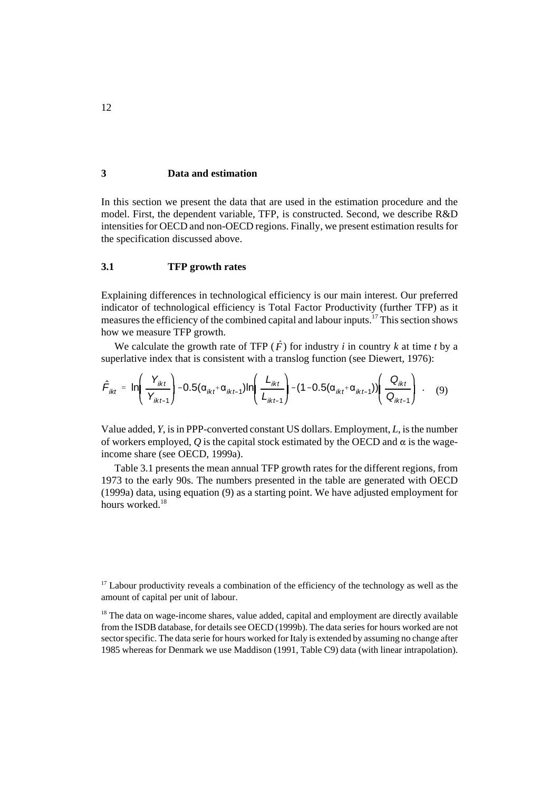# **3 Data and estimation**

In this section we present the data that are used in the estimation procedure and the model. First, the dependent variable, TFP, is constructed. Second, we describe R&D intensities for OECD and non-OECD regions. Finally, we present estimation results for the specification discussed above.

# **3.1 TFP growth rates**

Explaining differences in technological efficiency is our main interest. Our preferred indicator of technological efficiency is Total Factor Productivity (further TFP) as it measures the efficiency of the combined capital and labour inputs.<sup>17</sup> This section shows how we measure TFP growth.

We calculate the growth rate of TFP ( $\hat{F}$ ) for industry *i* in country *k* at time *t* by a verlative index that is consistent with a translog function (see Diewert, 1976):<br> $\left[ \frac{Y_{ikt}}{-0.5(\alpha_{k}+\alpha_{k}+1)} \right] - 0.5(\alpha_{k}+\alpha_{$ superlative index that is consistent with a translog function (see Diewert, 1976):

$$
\hat{F}_{ikt} = \ln\left(\frac{Y_{ikt}}{Y_{ikt-1}}\right) - 0.5(\alpha_{ikt} + \alpha_{ikt-1})\ln\left(\frac{L_{ikt}}{L_{ikt-1}}\right) - (1 - 0.5(\alpha_{ikt} + \alpha_{ikt-1}))\left(\frac{Q_{ikt}}{Q_{ikt-1}}\right) \tag{9}
$$

+1<br>7, i<br>pl<br>se  $\hat{F}_{ikt} = \ln\left(\frac{Y_{ikt}}{Y_{ikt-1}}\right) - 0.5(\alpha_{ikt} + \alpha_{ikt-1})\ln\left(\frac{L_{ikt}}{L_{ikt-1}}\right) - (1 - 0.5(\alpha_{ikt} + \alpha_{ikt-1}))\left(\frac{Q_{ikt}}{Q_{ikt-1}}\right)$ . (9)<br>Value added, *Y*, is in PPP-converted constant US dollars. Employment, *L*, is the number<br>of w -1<br>|n1<br>|- $\frac{1}{1}$ <br> $\frac{1}{1}$ <br> $\frac{1}{1}$ Value added, *Y*, is in PPP-converted constant US dollars. Employment, *L*, is the number income share (see OECD, 1999a).

Table 3.1 presents the mean annual TFP growth rates for the different regions, from 1973 to the early 90s. The numbers presented in the table are generated with OECD (1999a) data, using equation (9) as a starting point. We have adjusted employment for hours worked.<sup>18</sup>

 $17$  Labour productivity reveals a combination of the efficiency of the technology as well as the amount of capital per unit of labour.

<sup>&</sup>lt;sup>18</sup> The data on wage-income shares, value added, capital and employment are directly available from the ISDB database, for details see OECD (1999b). The data series for hours worked are not sector specific. The data serie for hours worked for Italy is extended by assuming no change after 1985 whereas for Denmark we use Maddison (1991, Table C9) data (with linear intrapolation).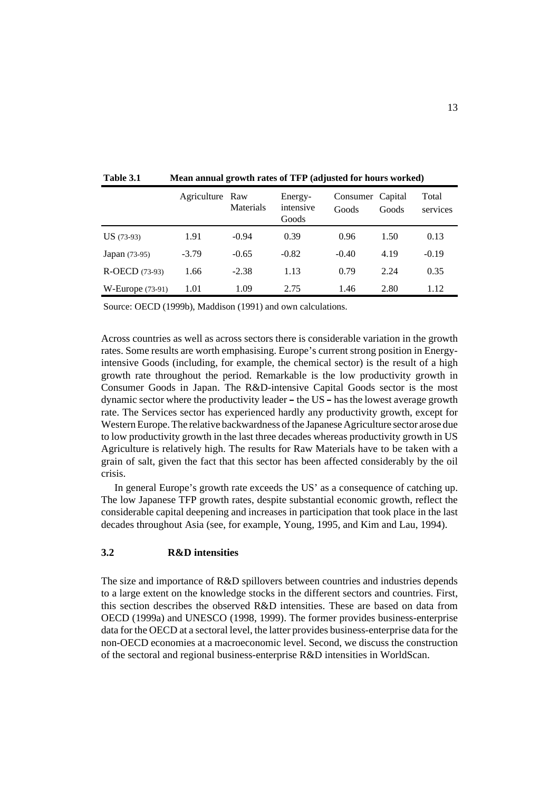|                           | Agriculture Raw | Materials | Energy-<br>intensive<br>Goods | Consumer Capital<br>Goods | Goods | Total<br>services |
|---------------------------|-----------------|-----------|-------------------------------|---------------------------|-------|-------------------|
| $US(73-93)$               | 1.91            | $-0.94$   | 0.39                          | 0.96                      | 1.50  | 0.13              |
| <b>Japan</b> (73-95)      | $-3.79$         | $-0.65$   | $-0.82$                       | $-0.40$                   | 4.19  | $-0.19$           |
| <b>R-OECD</b> (73-93)     | 1.66            | $-2.38$   | 1.13                          | 0.79                      | 2.24  | 0.35              |
| $W\text{-}Europe (73-91)$ | 1.01            | 1.09      | 2.75                          | 1.46                      | 2.80  | 1.12              |

**Table 3.1 Mean annual growth rates of TFP (adjusted for hours worked)**

Source: OECD (1999b), Maddison (1991) and own calculations.

Across countries as well as across sectors there is considerable variation in the growth rates. Some results are worth emphasising. Europe's current strong position in Energyintensive Goods (including, for example, the chemical sector) is the result of a high growth rate throughout the period. Remarkable is the low productivity growth in Consumer Goods in Japan. The R&D-intensive Capital Goods sector is the most dynamic sector where the productivity leader – the US – has the lowest average growth dynamic sector where the productivity leader – the US – has the lowest average growth<br>rate. The Services sector has experienced hardly any productivity growth, except for<br>Western Europe. The relative backwardness of the Ja rate. The Services sector has experienced hardly any productivity growth, except for Western Europe. The relative backwardness of the Japanese Agriculture sector arose due Agriculture is relatively high. The results for Raw Materials have to be taken with a grain of salt, given the fact that this sector has been affected considerably by the oil crisis.

In general Europe's growth rate exceeds the US' as a consequence of catching up. The low Japanese TFP growth rates, despite substantial economic growth, reflect the considerable capital deepening and increases in participation that took place in the last decades throughout Asia (see, for example, Young, 1995, and Kim and Lau, 1994).

### **3.2 R&D intensities**

The size and importance of R&D spillovers between countries and industries depends to a large extent on the knowledge stocks in the different sectors and countries. First, this section describes the observed R&D intensities. These are based on data from OECD (1999a) and UNESCO (1998, 1999). The former provides business-enterprise data for the OECD at a sectoral level, the latter provides business-enterprise data for the non-OECD economies at a macroeconomic level. Second, we discuss the construction of the sectoral and regional business-enterprise R&D intensities in WorldScan.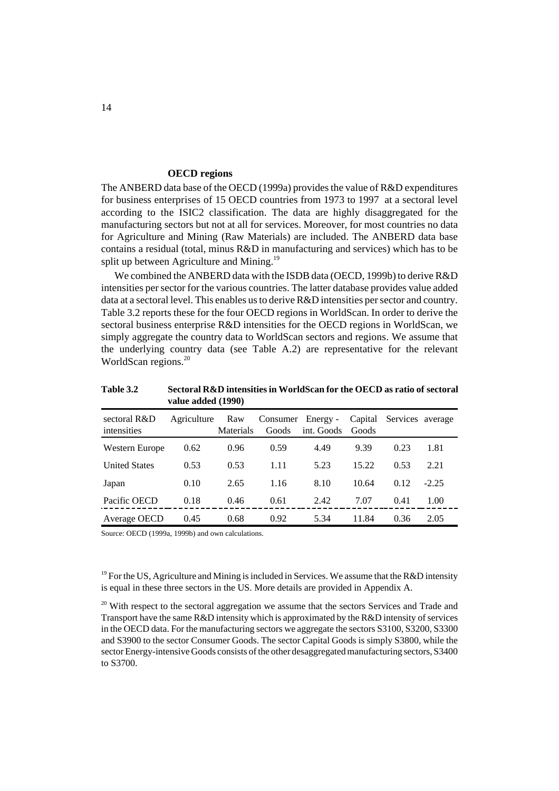#### **OECD regions**

The ANBERD data base of the OECD (1999a) provides the value of R&D expenditures for business enterprises of 15 OECD countries from 1973 to 1997 at a sectoral level according to the ISIC2 classification. The data are highly disaggregated for the manufacturing sectors but not at all for services. Moreover, for most countries no data for Agriculture and Mining (Raw Materials) are included. The ANBERD data base contains a residual (total, minus R&D in manufacturing and services) which has to be split up between Agriculture and Mining.<sup>19</sup>

We combined the ANBERD data with the ISDB data (OECD, 1999b) to derive R&D intensities per sector for the various countries. The latter database provides value added data at a sectoral level. This enables us to derive R&D intensities per sector and country. Table 3.2 reports these for the four OECD regions in WorldScan. In order to derive the sectoral business enterprise R&D intensities for the OECD regions in WorldScan, we simply aggregate the country data to WorldScan sectors and regions. We assume that the underlying country data (see Table A.2) are representative for the relevant WorldScan regions.<sup>20</sup>

**Table 3.2 Sectoral R&D intensities in WorldScan for the OECD as ratio of sectoral value added (1990)**

| sectoral R&D<br>intensities | Agriculture | Raw<br><b>Materials</b> | Consumer Energy -<br>Goods | int. Goods | Capital<br>Goods | Services average |         |
|-----------------------------|-------------|-------------------------|----------------------------|------------|------------------|------------------|---------|
| Western Europe              | 0.62        | 0.96                    | 0.59                       | 4.49       | 9.39             | 0.23             | 1.81    |
| <b>United States</b>        | 0.53        | 0.53                    | 1.11                       | 5.23       | 15.22            | 0.53             | 2.21    |
| Japan                       | 0.10        | 2.65                    | 1.16                       | 8.10       | 10.64            | 0.12             | $-2.25$ |
| Pacific OECD                | 0.18        | 0.46                    | 0.61                       | 2.42       | 7.07             | 0.41             | 1.00    |
| Average OECD                | 0.45        | 0.68                    | 0.92                       | 5.34       | 11.84            | 0.36             | 2.05    |

Source: OECD (1999a, 1999b) and own calculations.

<sup>19</sup> For the US, Agriculture and Mining is included in Services. We assume that the R&D intensity is equal in these three sectors in the US. More details are provided in Appendix A.

<sup>20</sup> With respect to the sectoral aggregation we assume that the sectors Services and Trade and Transport have the same R&D intensity which is approximated by the R&D intensity of services in the OECD data. For the manufacturing sectors we aggregate the sectors S3100, S3200, S3300 and S3900 to the sector Consumer Goods. The sector Capital Goods is simply S3800, while the sector Energy-intensive Goods consists of the other desaggregated manufacturing sectors, S3400 to S3700.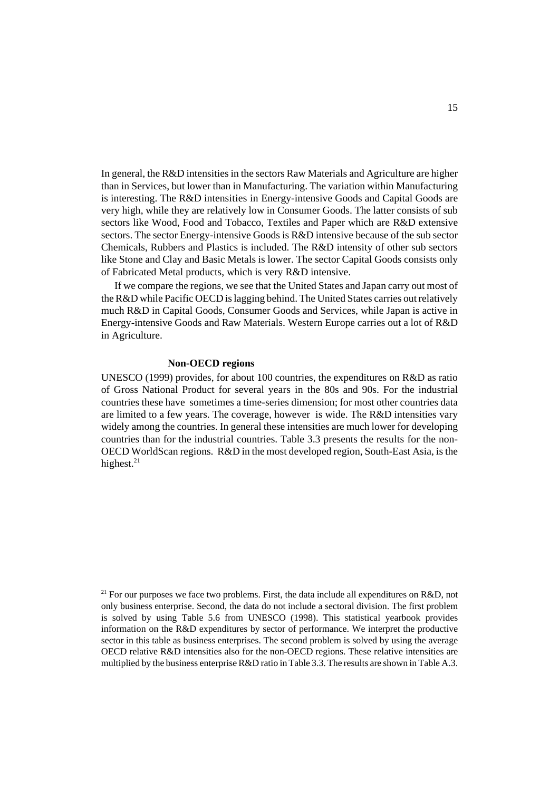In general, the R&D intensities in the sectors Raw Materials and Agriculture are higher than in Services, but lower than in Manufacturing. The variation within Manufacturing is interesting. The R&D intensities in Energy-intensive Goods and Capital Goods are very high, while they are relatively low in Consumer Goods. The latter consists of sub sectors like Wood, Food and Tobacco, Textiles and Paper which are R&D extensive sectors. The sector Energy-intensive Goods is R&D intensive because of the sub sector Chemicals, Rubbers and Plastics is included. The R&D intensity of other sub sectors like Stone and Clay and Basic Metals is lower. The sector Capital Goods consists only of Fabricated Metal products, which is very R&D intensive.

If we compare the regions, we see that the United States and Japan carry out most of the R&D while Pacific OECD is lagging behind. The United States carries out relatively much R&D in Capital Goods, Consumer Goods and Services, while Japan is active in Energy-intensive Goods and Raw Materials. Western Europe carries out a lot of R&D in Agriculture.

#### **Non-OECD regions**

UNESCO (1999) provides, for about 100 countries, the expenditures on R&D as ratio of Gross National Product for several years in the 80s and 90s. For the industrial countries these have sometimes a time-series dimension; for most other countries data are limited to a few years. The coverage, however is wide. The R&D intensities vary widely among the countries. In general these intensities are much lower for developing countries than for the industrial countries. Table 3.3 presents the results for the non-OECD WorldScan regions. R&D in the most developed region, South-East Asia, is the highest. $^{21}$ 

<sup>21</sup> For our purposes we face two problems. First, the data include all expenditures on R&D, not only business enterprise. Second, the data do not include a sectoral division. The first problem is solved by using Table 5.6 from UNESCO (1998). This statistical yearbook provides information on the R&D expenditures by sector of performance. We interpret the productive sector in this table as business enterprises. The second problem is solved by using the average OECD relative R&D intensities also for the non-OECD regions. These relative intensities are multiplied by the business enterprise R&D ratio in Table 3.3. The results are shown in Table A.3.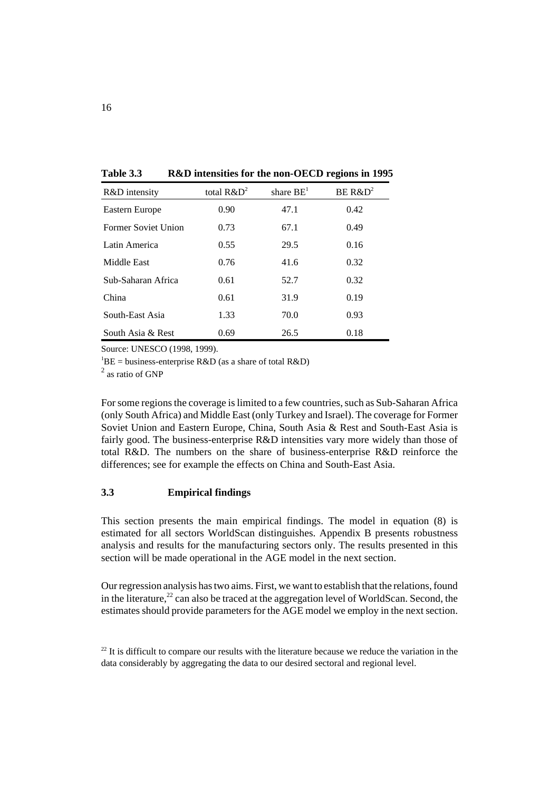| Table 3.3 |  |  |  | R&D intensities for the non-OECD regions in 1995 |  |  |
|-----------|--|--|--|--------------------------------------------------|--|--|
|-----------|--|--|--|--------------------------------------------------|--|--|

| R&D intensity        | total $R\&D^2$ | share $BE1$ | $BE R&D^2$ |
|----------------------|----------------|-------------|------------|
| Eastern Europe       | 0.90           | 47.1        | 0.42       |
| Former Soviet Union  | 0.73           | 67.1        | 0.49       |
| Latin America        | 0.55           | 29.5        | 0.16       |
| Middle East          | 0.76           | 41.6        | 0.32       |
| Sub-Saharan Africa   | 0.61           | 52.7        | 0.32       |
| China                | 0.61           | 31.9        | 0.19       |
| South-East Asia      | 1.33           | 70.0        | 0.93       |
| South Asia $\&$ Rest | 0.69           | 26.5        | 0.18       |

Source: UNESCO (1998, 1999).

 ${}^{1}BE$  = business-enterprise R&D (as a share of total R&D)

<sup>2</sup> as ratio of GNP

For some regions the coverage is limited to a few countries, such as Sub-Saharan Africa (only South Africa) and Middle East (only Turkey and Israel). The coverage for Former Soviet Union and Eastern Europe, China, South Asia & Rest and South-East Asia is fairly good. The business-enterprise R&D intensities vary more widely than those of total R&D. The numbers on the share of business-enterprise R&D reinforce the differences; see for example the effects on China and South-East Asia.

# **3.3 Empirical findings**

This section presents the main empirical findings. The model in equation (8) is estimated for all sectors WorldScan distinguishes. Appendix B presents robustness analysis and results for the manufacturing sectors only. The results presented in this section will be made operational in the AGE model in the next section.

Our regression analysis has two aims. First, we want to establish that the relations, found in the literature, $^{22}$  can also be traced at the aggregation level of WorldScan. Second, the estimates should provide parameters for the AGE model we employ in the next section.

 $22$  It is difficult to compare our results with the literature because we reduce the variation in the data considerably by aggregating the data to our desired sectoral and regional level.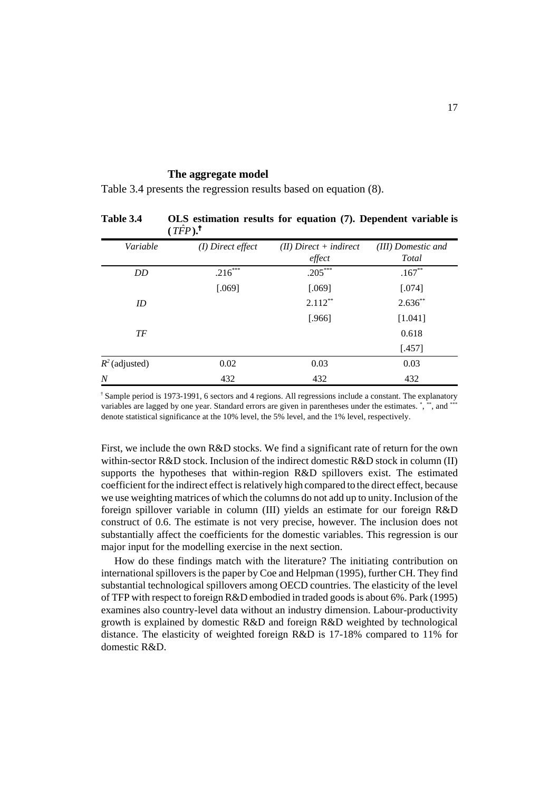#### **The aggregate model**

Table 3.4 presents the regression results based on equation (8).

|                  | $(TFP).$ <sup>T</sup> |                                    |                             |
|------------------|-----------------------|------------------------------------|-----------------------------|
| Variable         | $(I)$ Direct effect   | $(II)$ Direct + indirect<br>effect | (III) Domestic and<br>Total |
| DD               | $.216***$             | $.205***$                          | $.167**$                    |
|                  | [.069]                | [.069]                             | [.074]                      |
| ID               |                       | $2.112***$                         | $2.636**$                   |
|                  |                       | [.966]                             | [1.041]                     |
| TF               |                       |                                    | 0.618                       |
|                  |                       |                                    | $[.457]$                    |
| $R^2$ (adjusted) | 0.02                  | 0.03                               | 0.03                        |
| $\overline{N}$   | 432                   | 432                                | 432                         |

**Table 3.4 OLS estimation results for equation (7). Dependent variable is**

 $\text{\textdegree}$  Sample period is 1973-1991, 6 sectors and 4 regions. All regressions include a constant. The explanatory variables are lagged by one year. Standard errors are given in parentheses under the estimates. \*, \*\*, and \*\*\* denote statistical significance at the 10% level, the 5% level, and the 1% level, respectively.

First, we include the own R&D stocks. We find a significant rate of return for the own within-sector R&D stock. Inclusion of the indirect domestic R&D stock in column (II) supports the hypotheses that within-region R&D spillovers exist. The estimated coefficient for the indirect effect is relatively high compared to the direct effect, because we use weighting matrices of which the columns do not add up to unity. Inclusion of the foreign spillover variable in column (III) yields an estimate for our foreign R&D construct of 0.6. The estimate is not very precise, however. The inclusion does not substantially affect the coefficients for the domestic variables. This regression is our major input for the modelling exercise in the next section.

How do these findings match with the literature? The initiating contribution on international spillovers is the paper by Coe and Helpman (1995), further CH. They find substantial technological spillovers among OECD countries. The elasticity of the level of TFP with respect to foreign R&D embodied in traded goods is about 6%. Park (1995) examines also country-level data without an industry dimension. Labour-productivity growth is explained by domestic R&D and foreign R&D weighted by technological distance. The elasticity of weighted foreign R&D is 17-18% compared to 11% for domestic R&D.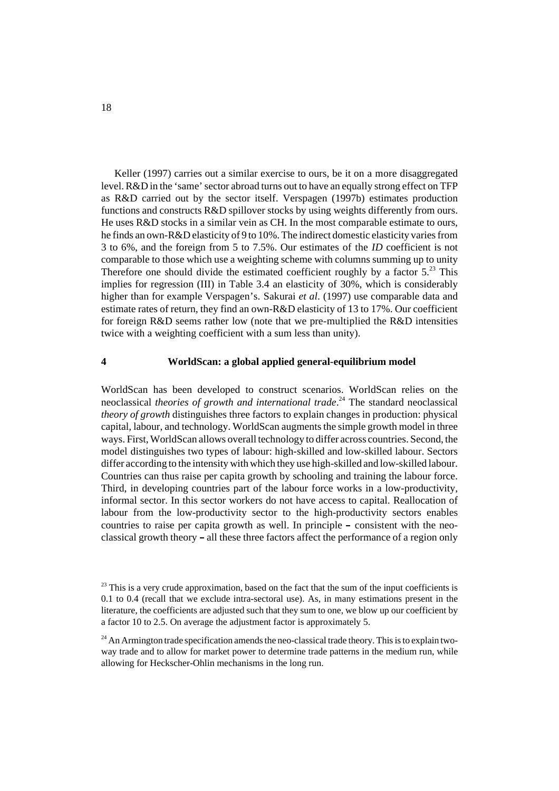Keller (1997) carries out a similar exercise to ours, be it on a more disaggregated level. R&D in the 'same' sector abroad turns out to have an equally strong effect on TFP as R&D carried out by the sector itself. Verspagen (1997b) estimates production functions and constructs R&D spillover stocks by using weights differently from ours. He uses R&D stocks in a similar vein as CH. In the most comparable estimate to ours, he finds an own-R&D elasticity of 9 to 10%. The indirect domestic elasticity varies from 3 to 6%, and the foreign from 5 to 7.5%. Our estimates of the *ID* coefficient is not comparable to those which use a weighting scheme with columns summing up to unity Therefore one should divide the estimated coefficient roughly by a factor  $5.^{23}$  This implies for regression (III) in Table 3.4 an elasticity of 30%, which is considerably higher than for example Verspagen's. Sakurai *et al*. (1997) use comparable data and estimate rates of return, they find an own-R&D elasticity of 13 to 17%. Our coefficient for foreign R&D seems rather low (note that we pre-multiplied the R&D intensities twice with a weighting coefficient with a sum less than unity).

#### **4 WorldScan: a global applied general-equilibrium model**

WorldScan has been developed to construct scenarios. WorldScan relies on the neoclassical *theories of growth and international trade*. 24 The standard neoclassical *theory of growth* distinguishes three factors to explain changes in production: physical capital, labour, and technology. WorldScan augments the simple growth model in three ways. First, WorldScan allows overall technology to differ across countries. Second, the model distinguishes two types of labour: high-skilled and low-skilled labour. Sectors differ according to the intensity with which they use high-skilled and low-skilled labour. Countries can thus raise per capita growth by schooling and training the labour force. Third, in developing countries part of the labour force works in a low-productivity, informal sector. In this sector workers do not have access to capital. Reallocation of labour from the low-productivity sector to the high-productivity sectors enables countries to raise per capita growth as well. In principle – consistent with the neo-<br>classical growth theory – all these three factors affect the performance of a region only classical growth theory – all these three factors affect the performance of a region only<br>desired the performance of a region only

 $23$  This is a very crude approximation, based on the fact that the sum of the input coefficients is 0.1 to 0.4 (recall that we exclude intra-sectoral use). As, in many estimations present in the literature, the coefficients are adjusted such that they sum to one, we blow up our coefficient by a factor 10 to 2.5. On average the adjustment factor is approximately 5.

 $24$  An Armington trade specification amends the neo-classical trade theory. This is to explain twoway trade and to allow for market power to determine trade patterns in the medium run, while allowing for Heckscher-Ohlin mechanisms in the long run.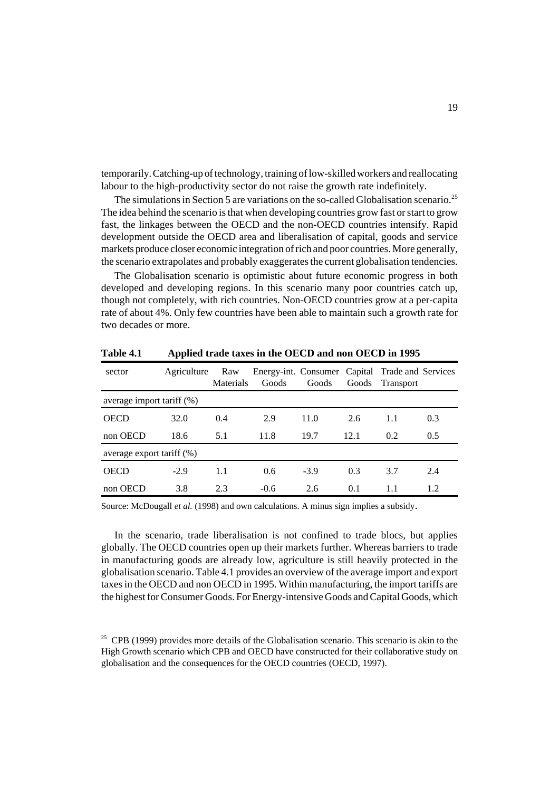temporarily. Catching-up of technology, training of low-skilled workers and reallocating labour to the high-productivity sector do not raise the growth rate indefinitely.

The simulations in Section 5 are variations on the so-called Globalisation scenario.<sup>25</sup> The idea behind the scenario is that when developing countries grow fast or start to grow fast, the linkages between the OECD and the non-OECD countries intensify. Rapid development outside the OECD area and liberalisation of capital, goods and service markets produce closer economic integration of rich and poor countries. More generally, the scenario extrapolates and probably exaggerates the current globalisation tendencies.

The Globalisation scenario is optimistic about future economic progress in both developed and developing regions. In this scenario many poor countries catch up, though not completely, with rich countries. Non-OECD countries grow at a per-capita rate of about 4%. Only few countries have been able to maintain such a growth rate for two decades or more.

| sector                       | Agriculture | Raw<br><b>Materials</b> | Energy-int. Consumer Capital Trade and Services<br>Goods | Goods  |      | Goods Transport |     |  |
|------------------------------|-------------|-------------------------|----------------------------------------------------------|--------|------|-----------------|-----|--|
| average import tariff $(\%)$ |             |                         |                                                          |        |      |                 |     |  |
| <b>OECD</b>                  | 32.0        | 0.4                     | 2.9                                                      | 11.0   | 2.6  | 1.1             | 0.3 |  |
| non OECD                     | 18.6        | 5.1                     | 11.8                                                     | 19.7   | 12.1 | 0.2             | 0.5 |  |
| average export tariff (%)    |             |                         |                                                          |        |      |                 |     |  |
| <b>OECD</b>                  | $-2.9$      | 1.1                     | 0.6                                                      | $-3.9$ | 0.3  | 3.7             | 2.4 |  |
| non OECD                     | 3.8         | 2.3                     | $-0.6$                                                   | 2.6    | 0.1  | 1.1             | 1.2 |  |

**Table 4.1 Applied trade taxes in the OECD and non OECD in 1995**

Source: McDougall *et al.* (1998) and own calculations. A minus sign implies a subsidy.

In the scenario, trade liberalisation is not confined to trade blocs, but applies globally. The OECD countries open up their markets further. Whereas barriers to trade in manufacturing goods are already low, agriculture is still heavily protected in the globalisation scenario. Table 4.1 provides an overview of the average import and export taxes in the OECD and non OECD in 1995. Within manufacturing, the import tariffs are the highest for Consumer Goods. For Energy-intensive Goods and Capital Goods, which

 $25$  CPB (1999) provides more details of the Globalisation scenario. This scenario is akin to the High Growth scenario which CPB and OECD have constructed for their collaborative study on globalisation and the consequences for the OECD countries (OECD, 1997).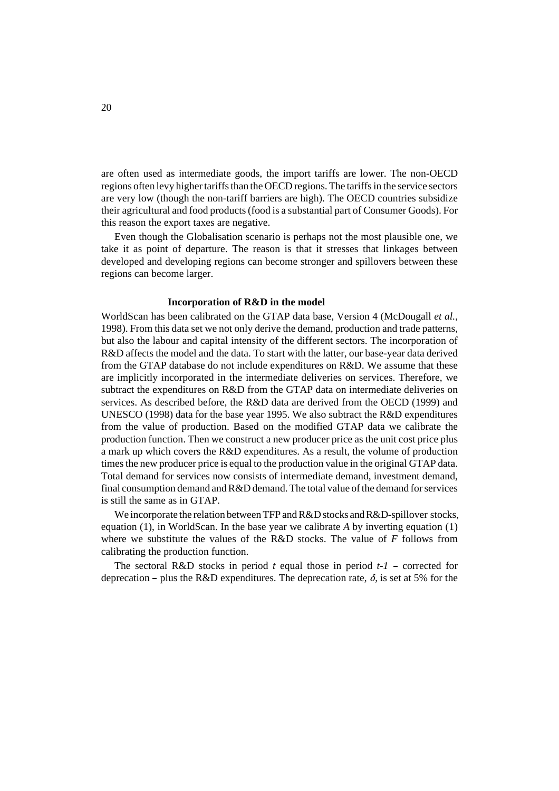are often used as intermediate goods, the import tariffs are lower. The non-OECD regions often levy higher tariffs than the OECD regions. The tariffs in the service sectors are very low (though the non-tariff barriers are high). The OECD countries subsidize their agricultural and food products (food is a substantial part of Consumer Goods). For this reason the export taxes are negative.

Even though the Globalisation scenario is perhaps not the most plausible one, we take it as point of departure. The reason is that it stresses that linkages between developed and developing regions can become stronger and spillovers between these regions can become larger.

#### **Incorporation of R&D in the model**

WorldScan has been calibrated on the GTAP data base, Version 4 (McDougall *et al.*, 1998). From this data set we not only derive the demand, production and trade patterns, but also the labour and capital intensity of the different sectors. The incorporation of R&D affects the model and the data. To start with the latter, our base-year data derived from the GTAP database do not include expenditures on R&D. We assume that these are implicitly incorporated in the intermediate deliveries on services. Therefore, we subtract the expenditures on R&D from the GTAP data on intermediate deliveries on services. As described before, the R&D data are derived from the OECD (1999) and UNESCO (1998) data for the base year 1995. We also subtract the R&D expenditures from the value of production. Based on the modified GTAP data we calibrate the production function. Then we construct a new producer price as the unit cost price plus a mark up which covers the R&D expenditures. As a result, the volume of production times the new producer price is equal to the production value in the original GTAP data. Total demand for services now consists of intermediate demand, investment demand, final consumption demand and R&D demand. The total value of the demand for services is still the same as in GTAP.

We incorporate the relation between TFP and R&D stocks and R&D-spillover stocks, equation (1), in WorldScan. In the base year we calibrate *A* by inverting equation (1) where we substitute the values of the R&D stocks. The value of *F* follows from calibrating the production function.

The sectoral R&D stocks in period  $t$  equal those in period  $t-1$  – corrected for - corrected for<br>et at 5% for the deprecation – plus the R&D expenditures. The deprecation rate,  $\delta$ , is set at 5% for the deprecation.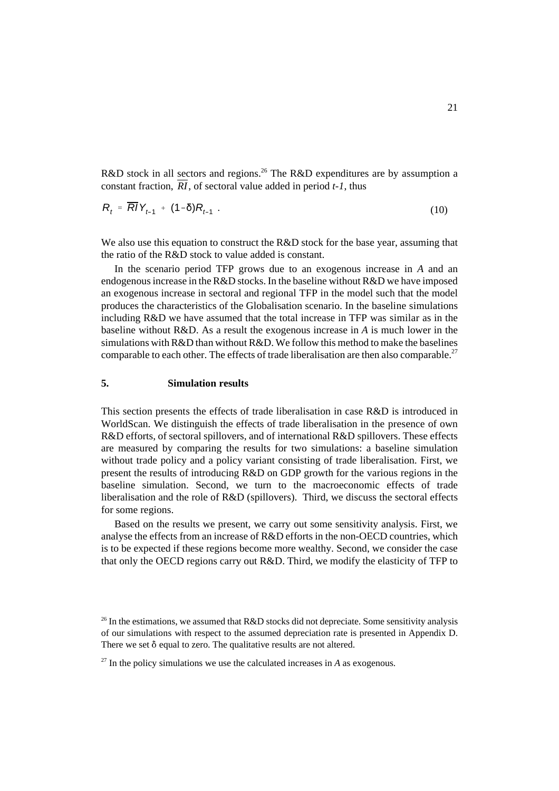R&D stock in all sectors and regions.<sup>26</sup> The R&D expenditures are by assumption a constant fraction,  $\overline{RI}$ , of sectoral value added in period *t*-1, thus

$$
R_t = \overline{R} V_{t-1} + (1-\delta) R_{t-1} \tag{10}
$$

=  $R/Y_{t-1}$  +  $(1-\delta)R_{t-1}$ . (10)<br>
2 also use this equation to construct the R&D stock for the base year, assuming that<br>
ratio of the R&D stock to value added is constant.<br>
In the scenario period TFP grows due to an exoge We also use this equation to construct the R&D stock for the base year, assuming that the ratio of the R&D stock to value added is constant.

endogenous increase in the R&D stocks. In the baseline without R&D we have imposed an exogenous increase in sectoral and regional TFP in the model such that the model produces the characteristics of the Globalisation scenario. In the baseline simulations including R&D we have assumed that the total increase in TFP was similar as in the baseline without R&D. As a result the exogenous increase in *A* is much lower in the simulations with R&D than without R&D. We follow this method to make the baselines comparable to each other. The effects of trade liberalisation are then also comparable.<sup>27</sup>

#### **5. Simulation results**

This section presents the effects of trade liberalisation in case R&D is introduced in WorldScan. We distinguish the effects of trade liberalisation in the presence of own R&D efforts, of sectoral spillovers, and of international R&D spillovers. These effects are measured by comparing the results for two simulations: a baseline simulation without trade policy and a policy variant consisting of trade liberalisation. First, we present the results of introducing R&D on GDP growth for the various regions in the baseline simulation. Second, we turn to the macroeconomic effects of trade liberalisation and the role of R&D (spillovers). Third, we discuss the sectoral effects for some regions.

Based on the results we present, we carry out some sensitivity analysis. First, we analyse the effects from an increase of R&D efforts in the non-OECD countries, which is to be expected if these regions become more wealthy. Second, we consider the case that only the OECD regions carry out R&D. Third, we modify the elasticity of TFP to

<sup>&</sup>lt;sup>26</sup> In the estimations, we assumed that  $R&D$  stocks did not depreciate. Some sensitivity analysis of our simulations with respect to the assumed depreciation rate is presented in Appendix D. There we set  $\delta$  equal to zero. The qualitative results are not altered.

 $27$  In the policy simulations we use the calculated increases in *A* as exogenous.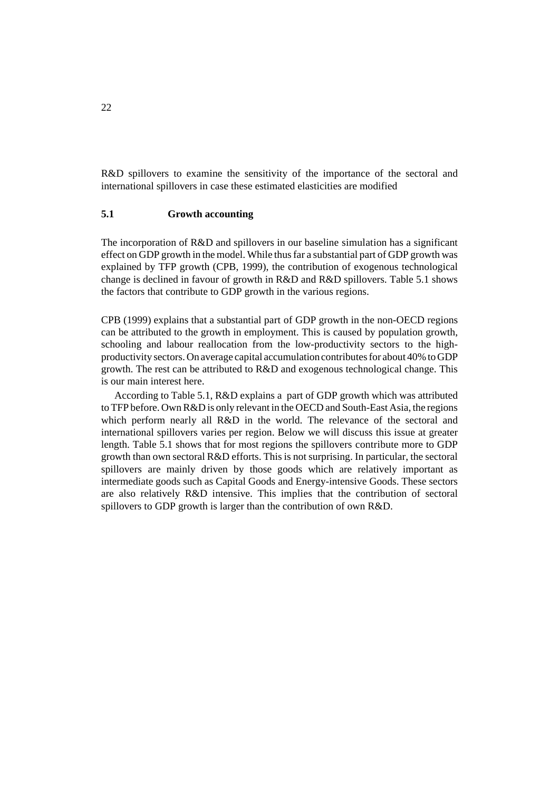R&D spillovers to examine the sensitivity of the importance of the sectoral and international spillovers in case these estimated elasticities are modified

# **5.1 Growth accounting**

The incorporation of R&D and spillovers in our baseline simulation has a significant effect on GDP growth in the model. While thus far a substantial part of GDP growth was explained by TFP growth (CPB, 1999), the contribution of exogenous technological change is declined in favour of growth in R&D and R&D spillovers. Table 5.1 shows the factors that contribute to GDP growth in the various regions.

CPB (1999) explains that a substantial part of GDP growth in the non-OECD regions can be attributed to the growth in employment. This is caused by population growth, schooling and labour reallocation from the low-productivity sectors to the highproductivity sectors. On average capital accumulation contributes for about 40% to GDP growth. The rest can be attributed to R&D and exogenous technological change. This is our main interest here.

According to Table 5.1, R&D explains a part of GDP growth which was attributed to TFP before. Own R&D is only relevant in the OECD and South-East Asia, the regions which perform nearly all R&D in the world. The relevance of the sectoral and international spillovers varies per region. Below we will discuss this issue at greater length. Table 5.1 shows that for most regions the spillovers contribute more to GDP growth than own sectoral R&D efforts. This is not surprising. In particular, the sectoral spillovers are mainly driven by those goods which are relatively important as intermediate goods such as Capital Goods and Energy-intensive Goods. These sectors are also relatively R&D intensive. This implies that the contribution of sectoral spillovers to GDP growth is larger than the contribution of own R&D.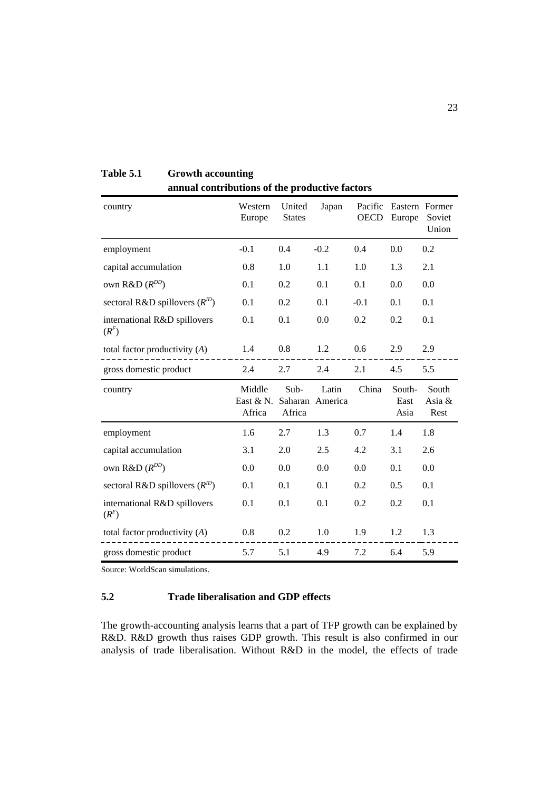| country                                 | Western<br>Europe              | United<br><b>States</b>   | Japan            | Pacific<br><b>OECD</b> | Europe                 | Eastern Former<br>Soviet<br>Union |
|-----------------------------------------|--------------------------------|---------------------------|------------------|------------------------|------------------------|-----------------------------------|
| employment                              | $-0.1$                         | 0.4                       | $-0.2$           | 0.4                    | 0.0                    | 0.2                               |
| capital accumulation                    | 0.8                            | 1.0                       | 1.1              | 1.0                    | 1.3                    | 2.1                               |
| own $R&D(R^{DD})$                       | 0.1                            | 0.2                       | 0.1              | 0.1                    | 0.0                    | 0.0                               |
| sectoral R&D spillovers $(R^{1D})$      | 0.1                            | 0.2                       | 0.1              | $-0.1$                 | 0.1                    | 0.1                               |
| international R&D spillovers<br>$(R^F)$ | 0.1                            | 0.1                       | 0.0              | 0.2                    | 0.2                    | 0.1                               |
| total factor productivity $(A)$         | 1.4                            | 0.8                       | 1.2              | 0.6                    | 2.9                    | 2.9                               |
| gross domestic product                  | 2.4                            | 2.7                       | 2.4              | 2.1                    | 4.5                    | 5.5                               |
| country                                 | Middle<br>East $&N.$<br>Africa | Sub-<br>Saharan<br>Africa | Latin<br>America | China                  | South-<br>East<br>Asia | South<br>Asia &<br>Rest           |
| employment                              | 1.6                            | 2.7                       | 1.3              | 0.7                    | 1.4                    | 1.8                               |
| capital accumulation                    | 3.1                            | 2.0                       | 2.5              | 4.2                    | 3.1                    | 2.6                               |
| own $R&D(R^{DD})$                       | 0.0                            | 0.0                       | 0.0              | 0.0                    | 0.1                    | 0.0                               |
| sectoral R&D spillovers $(R^{ID})$      | 0.1                            | 0.1                       | 0.1              | 0.2                    | 0.5                    | 0.1                               |
| international R&D spillovers<br>$(R^F)$ | 0.1                            | 0.1                       | 0.1              | 0.2                    | 0.2                    | 0.1                               |
| total factor productivity $(A)$         | 0.8                            | 0.2                       | 1.0              | 1.9                    | 1.2                    | 1.3                               |
| gross domestic product                  | 5.7                            | 5.1                       | 4.9              | 7.2                    | 6.4                    | 5.9                               |

**Table 5.1 Growth accounting annual contributions of the productive factors**

Source: WorldScan simulations.

# **5.2 Trade liberalisation and GDP effects**

The growth-accounting analysis learns that a part of TFP growth can be explained by R&D. R&D growth thus raises GDP growth. This result is also confirmed in our analysis of trade liberalisation. Without R&D in the model, the effects of trade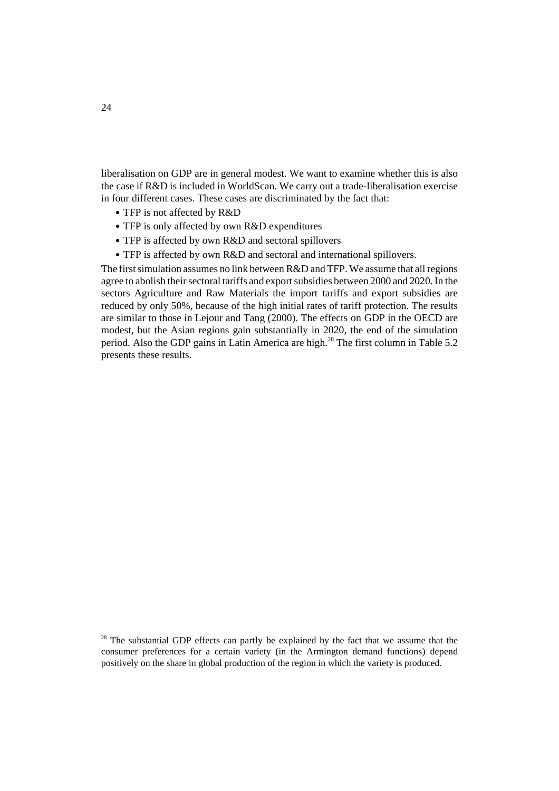liberalisation on GDP are in general modest. We want to examine whether this is also the case if R&D is included in WorldScan. We carry out a trade-liberalisation exercise in four different cases. These cases are discriminated by the fact that:

- TFP is not affected by R&D
- TFP is only affected by own R&D expenditures
- TFP is affected by own R&D and sectoral spillovers
- TFP is affected by own R&D and sectoral and international spillovers.

The first simulation assumes no link between R&D and TFP. We assume that all regions agree to abolish their sectoral tariffs and export subsidies between 2000 and 2020. In the sectors Agriculture and Raw Materials the import tariffs and export subsidies are reduced by only 50%, because of the high initial rates of tariff protection. The results are similar to those in Lejour and Tang (2000). The effects on GDP in the OECD are modest, but the Asian regions gain substantially in 2020, the end of the simulation period. Also the GDP gains in Latin America are high.<sup>28</sup> The first column in Table 5.2 presents these results.

<sup>&</sup>lt;sup>28</sup> The substantial GDP effects can partly be explained by the fact that we assume that the consumer preferences for a certain variety (in the Armington demand functions) depend positively on the share in global production of the region in which the variety is produced.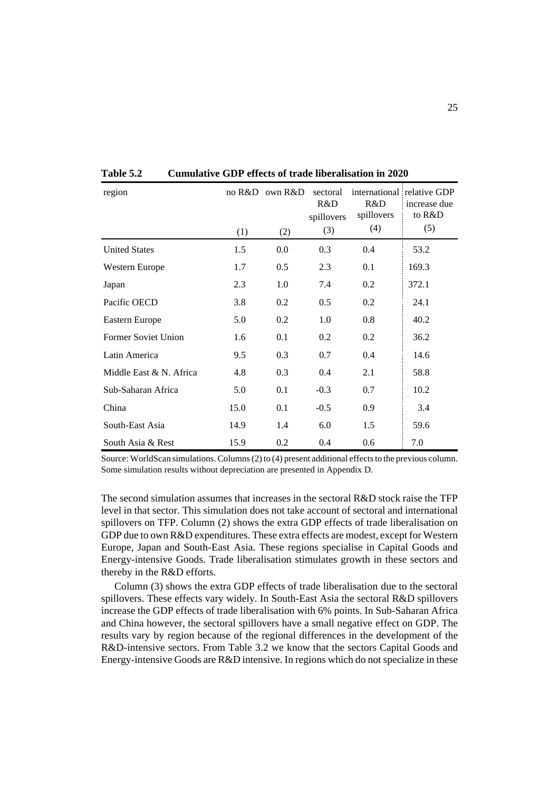| region                  | (1)  | no R&D own R&D<br>(2) | sectoral<br>R&D<br>spillovers<br>(3) | R&D<br>spillovers<br>(4) | international relative GDP<br>increase due<br>to R&D<br>(5) |
|-------------------------|------|-----------------------|--------------------------------------|--------------------------|-------------------------------------------------------------|
| <b>United States</b>    | 1.5  | 0.0                   | 0.3                                  | 0.4                      | 53.2                                                        |
| Western Europe          | 1.7  | 0.5                   | 2.3                                  | 0.1                      | 169.3                                                       |
| Japan                   | 2.3  | 1.0                   | 7.4                                  | 0.2                      | 372.1                                                       |
| Pacific OECD            | 3.8  | 0.2                   | 0.5                                  | 0.2                      | 24.1                                                        |
| Eastern Europe          | 5.0  | 0.2                   | 1.0                                  | 0.8                      | 40.2                                                        |
| Former Soviet Union     | 1.6  | 0.1                   | 0.2                                  | 0.2                      | 36.2                                                        |
| Latin America           | 9.5  | 0.3                   | 0.7                                  | 0.4                      | 14.6                                                        |
| Middle East & N. Africa | 4.8  | 0.3                   | 0.4                                  | 2.1                      | 58.8                                                        |
| Sub-Saharan Africa      | 5.0  | 0.1                   | $-0.3$                               | 0.7                      | 10.2                                                        |
| China                   | 15.0 | 0.1                   | $-0.5$                               | 0.9                      | 3.4                                                         |
| South-East Asia         | 14.9 | 1.4                   | 6.0                                  | 1.5                      | 59.6                                                        |
| South Asia & Rest       | 15.9 | 0.2                   | 0.4                                  | 0.6                      | 7.0                                                         |

**Table 5.2 Cumulative GDP effects of trade liberalisation in 2020**

Source: WorldScan simulations. Columns (2) to (4) present additional effects to the previous column. Some simulation results without depreciation are presented in Appendix D.

The second simulation assumes that increases in the sectoral R&D stock raise the TFP level in that sector. This simulation does not take account of sectoral and international spillovers on TFP. Column (2) shows the extra GDP effects of trade liberalisation on GDP due to own R&D expenditures. These extra effects are modest, except for Western Europe, Japan and South-East Asia. These regions specialise in Capital Goods and Energy-intensive Goods. Trade liberalisation stimulates growth in these sectors and thereby in the R&D efforts.

Column (3) shows the extra GDP effects of trade liberalisation due to the sectoral spillovers. These effects vary widely. In South-East Asia the sectoral R&D spillovers increase the GDP effects of trade liberalisation with 6% points. In Sub-Saharan Africa and China however, the sectoral spillovers have a small negative effect on GDP. The results vary by region because of the regional differences in the development of the R&D-intensive sectors. From Table 3.2 we know that the sectors Capital Goods and Energy-intensive Goods are R&D intensive. In regions which do not specialize in these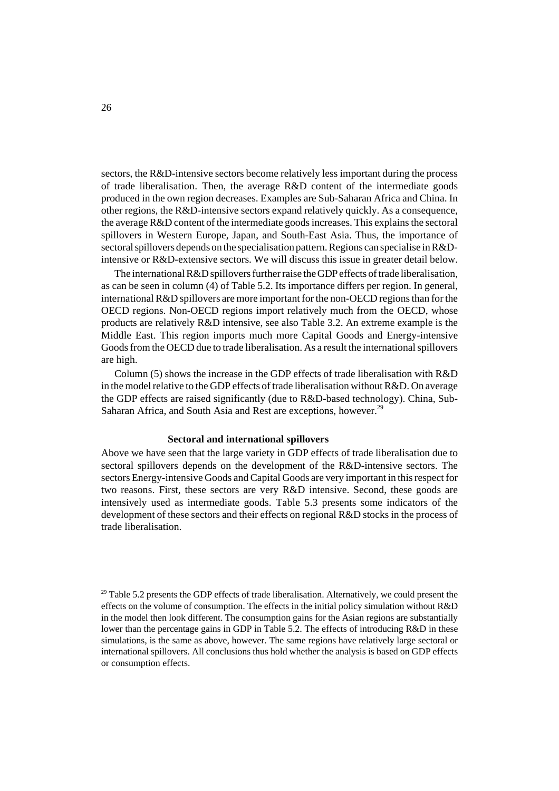sectors, the R&D-intensive sectors become relatively less important during the process of trade liberalisation. Then, the average R&D content of the intermediate goods produced in the own region decreases. Examples are Sub-Saharan Africa and China. In other regions, the R&D-intensive sectors expand relatively quickly. As a consequence, the average R&D content of the intermediate goods increases. This explains the sectoral spillovers in Western Europe, Japan, and South-East Asia. Thus, the importance of sectoral spillovers depends on the specialisation pattern. Regions can specialise in R&Dintensive or R&D-extensive sectors. We will discuss this issue in greater detail below.

The international R&D spillovers further raise the GDP effects of trade liberalisation, as can be seen in column (4) of Table 5.2. Its importance differs per region. In general, international R&D spillovers are more important for the non-OECD regions than for the OECD regions. Non-OECD regions import relatively much from the OECD, whose products are relatively R&D intensive, see also Table 3.2. An extreme example is the Middle East. This region imports much more Capital Goods and Energy-intensive Goods from the OECD due to trade liberalisation. As a result the international spillovers are high.

Column (5) shows the increase in the GDP effects of trade liberalisation with R&D in the model relative to the GDP effects of trade liberalisation without R&D. On average the GDP effects are raised significantly (due to R&D-based technology). China, Sub-Saharan Africa, and South Asia and Rest are exceptions, however.<sup>29</sup>

#### **Sectoral and international spillovers**

Above we have seen that the large variety in GDP effects of trade liberalisation due to sectoral spillovers depends on the development of the R&D-intensive sectors. The sectors Energy-intensive Goods and Capital Goods are very important in this respect for two reasons. First, these sectors are very R&D intensive. Second, these goods are intensively used as intermediate goods. Table 5.3 presents some indicators of the development of these sectors and their effects on regional R&D stocks in the process of trade liberalisation.

<sup>&</sup>lt;sup>29</sup> Table 5.2 presents the GDP effects of trade liberalisation. Alternatively, we could present the effects on the volume of consumption. The effects in the initial policy simulation without R&D in the model then look different. The consumption gains for the Asian regions are substantially lower than the percentage gains in GDP in Table 5.2. The effects of introducing R&D in these simulations, is the same as above, however. The same regions have relatively large sectoral or international spillovers. All conclusions thus hold whether the analysis is based on GDP effects or consumption effects.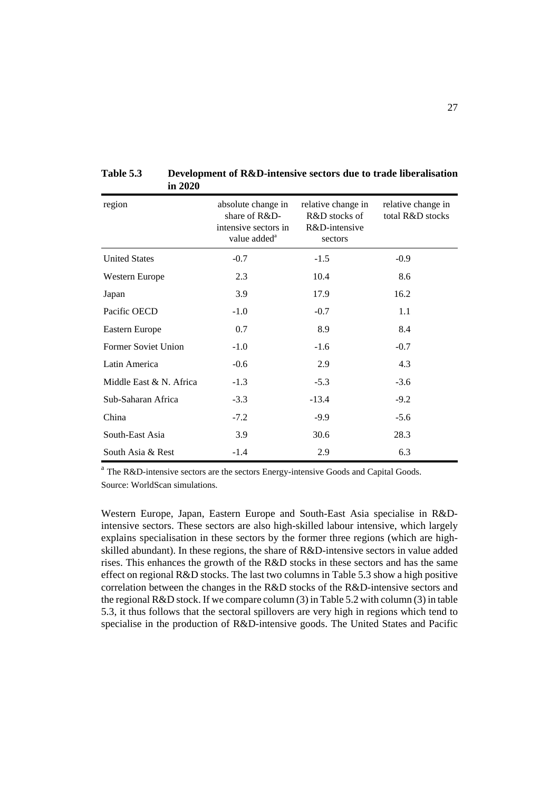| region                     | absolute change in<br>share of R&D-<br>intensive sectors in<br>value added <sup>a</sup> | relative change in<br>R&D stocks of<br>R&D-intensive<br>sectors | relative change in<br>total R&D stocks |
|----------------------------|-----------------------------------------------------------------------------------------|-----------------------------------------------------------------|----------------------------------------|
| <b>United States</b>       | $-0.7$                                                                                  | $-1.5$                                                          | $-0.9$                                 |
| Western Europe             | 2.3                                                                                     | 10.4                                                            | 8.6                                    |
| Japan                      | 3.9                                                                                     | 17.9                                                            | 16.2                                   |
| Pacific OECD               | $-1.0$                                                                                  | $-0.7$                                                          | 1.1                                    |
| Eastern Europe             | 0.7                                                                                     | 8.9                                                             | 8.4                                    |
| <b>Former Soviet Union</b> | $-1.0$                                                                                  | $-1.6$                                                          | $-0.7$                                 |
| Latin America              | $-0.6$                                                                                  | 2.9                                                             | 4.3                                    |
| Middle East & N. Africa    | $-1.3$                                                                                  | $-5.3$                                                          | $-3.6$                                 |
| Sub-Saharan Africa         | $-3.3$                                                                                  | $-13.4$                                                         | $-9.2$                                 |
| China                      | $-7.2$                                                                                  | $-9.9$                                                          | $-5.6$                                 |
| South-East Asia            | 3.9                                                                                     | 30.6                                                            | 28.3                                   |
| South Asia & Rest          | $-1.4$                                                                                  | 2.9                                                             | 6.3                                    |

**Table 5.3 Development of R&D-intensive sectors due to trade liberalisation in 2020**

<sup>a</sup> The R&D-intensive sectors are the sectors Energy-intensive Goods and Capital Goods. Source: WorldScan simulations.

Western Europe, Japan, Eastern Europe and South-East Asia specialise in R&Dintensive sectors. These sectors are also high-skilled labour intensive, which largely explains specialisation in these sectors by the former three regions (which are highskilled abundant). In these regions, the share of R&D-intensive sectors in value added rises. This enhances the growth of the R&D stocks in these sectors and has the same effect on regional R&D stocks. The last two columns in Table 5.3 show a high positive correlation between the changes in the R&D stocks of the R&D-intensive sectors and the regional R&D stock. If we compare column (3) in Table 5.2 with column (3) in table 5.3, it thus follows that the sectoral spillovers are very high in regions which tend to specialise in the production of R&D-intensive goods. The United States and Pacific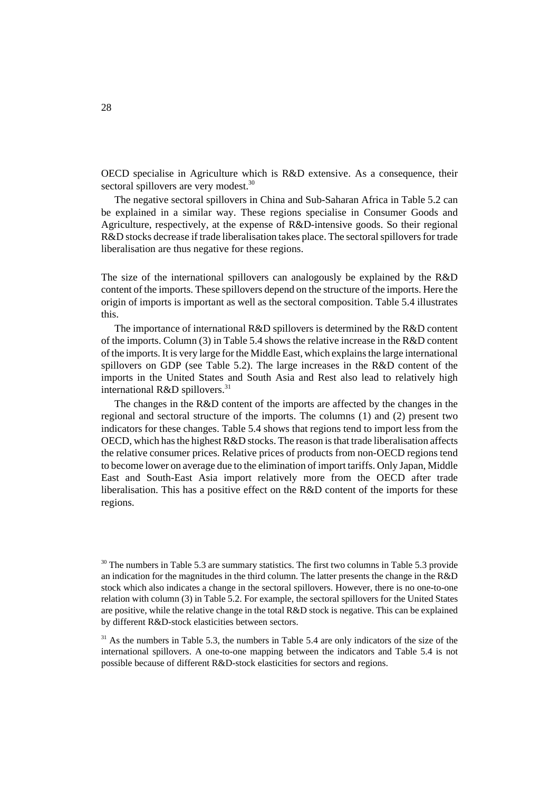OECD specialise in Agriculture which is R&D extensive. As a consequence, their sectoral spillovers are very modest.<sup>30</sup>

The negative sectoral spillovers in China and Sub-Saharan Africa in Table 5.2 can be explained in a similar way. These regions specialise in Consumer Goods and Agriculture, respectively, at the expense of R&D-intensive goods. So their regional R&D stocks decrease if trade liberalisation takes place. The sectoral spillovers for trade liberalisation are thus negative for these regions.

The size of the international spillovers can analogously be explained by the R&D content of the imports. These spillovers depend on the structure of the imports. Here the origin of imports is important as well as the sectoral composition. Table 5.4 illustrates this.

The importance of international R&D spillovers is determined by the R&D content of the imports. Column (3) in Table 5.4 shows the relative increase in the R&D content of the imports. It is very large for the Middle East, which explains the large international spillovers on GDP (see Table 5.2). The large increases in the R&D content of the imports in the United States and South Asia and Rest also lead to relatively high international R&D spillovers. $31$ 

The changes in the R&D content of the imports are affected by the changes in the regional and sectoral structure of the imports. The columns (1) and (2) present two indicators for these changes. Table 5.4 shows that regions tend to import less from the OECD, which has the highest R&D stocks. The reason is that trade liberalisation affects the relative consumer prices. Relative prices of products from non-OECD regions tend to become lower on average due to the elimination of import tariffs. Only Japan, Middle East and South-East Asia import relatively more from the OECD after trade liberalisation. This has a positive effect on the R&D content of the imports for these regions.

 $30$  The numbers in Table 5.3 are summary statistics. The first two columns in Table 5.3 provide an indication for the magnitudes in the third column. The latter presents the change in the R&D stock which also indicates a change in the sectoral spillovers. However, there is no one-to-one relation with column (3) in Table 5.2. For example, the sectoral spillovers for the United States are positive, while the relative change in the total R&D stock is negative. This can be explained by different R&D-stock elasticities between sectors.

 $31$  As the numbers in Table 5.3, the numbers in Table 5.4 are only indicators of the size of the international spillovers. A one-to-one mapping between the indicators and Table 5.4 is not possible because of different R&D-stock elasticities for sectors and regions.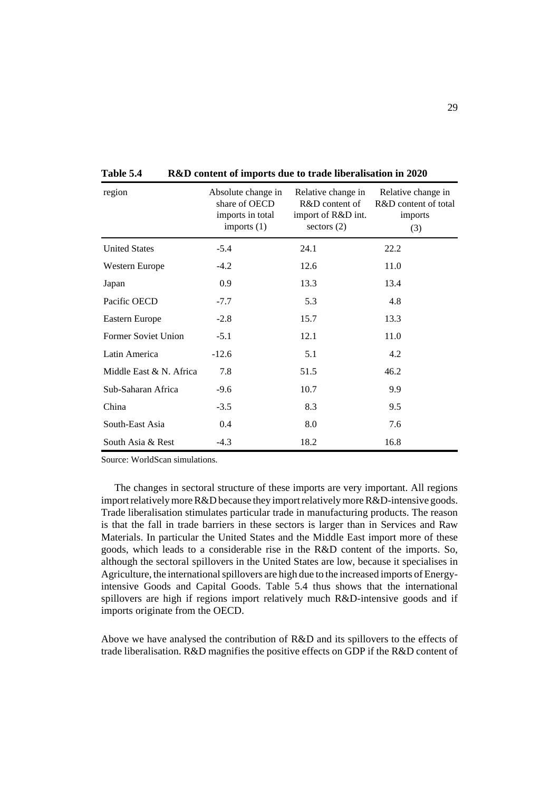| region                  | Absolute change in<br>share of OECD<br>imports in total<br>imports $(1)$ | Relative change in<br>R&D content of<br>import of R&D int.<br>sectors $(2)$ | Relative change in<br>R&D content of total<br>imports<br>(3) |
|-------------------------|--------------------------------------------------------------------------|-----------------------------------------------------------------------------|--------------------------------------------------------------|
| <b>United States</b>    | $-5.4$                                                                   | 24.1                                                                        | 22.2                                                         |
| Western Europe          | $-4.2$                                                                   | 12.6                                                                        | 11.0                                                         |
| Japan                   | 0.9                                                                      | 13.3                                                                        | 13.4                                                         |
| Pacific OECD            | $-7.7$                                                                   | 5.3                                                                         | 4.8                                                          |
| Eastern Europe          | $-2.8$                                                                   | 15.7                                                                        | 13.3                                                         |
| Former Soviet Union     | $-5.1$                                                                   | 12.1                                                                        | 11.0                                                         |
| Latin America           | $-12.6$                                                                  | 5.1                                                                         | 4.2                                                          |
| Middle East & N. Africa | 7.8                                                                      | 51.5                                                                        | 46.2                                                         |
| Sub-Saharan Africa      | $-9.6$                                                                   | 10.7                                                                        | 9.9                                                          |
| China                   | $-3.5$                                                                   | 8.3                                                                         | 9.5                                                          |
| South-East Asia         | 0.4                                                                      | 8.0                                                                         | 7.6                                                          |
| South Asia & Rest       | $-4.3$                                                                   | 18.2                                                                        | 16.8                                                         |

**Table 5.4 R&D content of imports due to trade liberalisation in 2020**

Source: WorldScan simulations.

The changes in sectoral structure of these imports are very important. All regions import relatively more R&D because they import relatively more R&D-intensive goods. Trade liberalisation stimulates particular trade in manufacturing products. The reason is that the fall in trade barriers in these sectors is larger than in Services and Raw Materials. In particular the United States and the Middle East import more of these goods, which leads to a considerable rise in the R&D content of the imports. So, although the sectoral spillovers in the United States are low, because it specialises in Agriculture, the international spillovers are high due to the increased imports of Energyintensive Goods and Capital Goods. Table 5.4 thus shows that the international spillovers are high if regions import relatively much R&D-intensive goods and if imports originate from the OECD.

Above we have analysed the contribution of R&D and its spillovers to the effects of trade liberalisation. R&D magnifies the positive effects on GDP if the R&D content of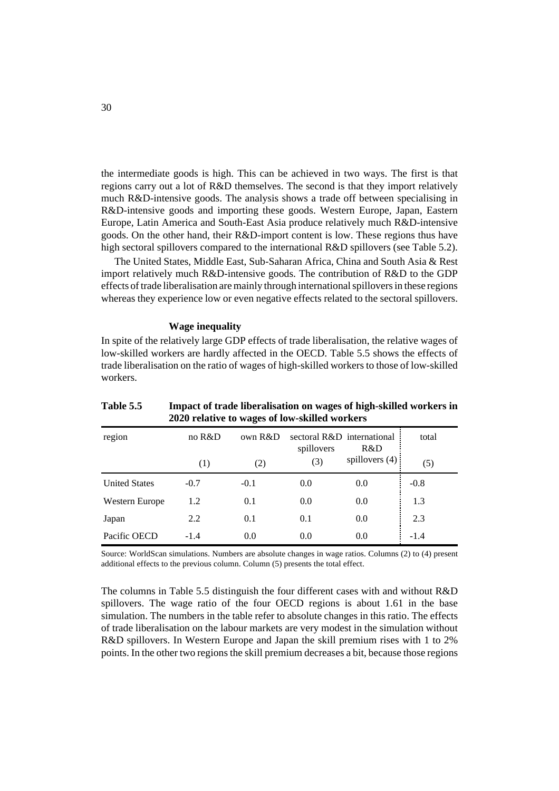the intermediate goods is high. This can be achieved in two ways. The first is that regions carry out a lot of R&D themselves. The second is that they import relatively much R&D-intensive goods. The analysis shows a trade off between specialising in R&D-intensive goods and importing these goods. Western Europe, Japan, Eastern Europe, Latin America and South-East Asia produce relatively much R&D-intensive goods. On the other hand, their R&D-import content is low. These regions thus have high sectoral spillovers compared to the international R&D spillovers (see Table 5.2).

The United States, Middle East, Sub-Saharan Africa, China and South Asia & Rest import relatively much R&D-intensive goods. The contribution of R&D to the GDP effects of trade liberalisation are mainly through international spillovers in these regions whereas they experience low or even negative effects related to the sectoral spillovers.

#### **Wage inequality**

In spite of the relatively large GDP effects of trade liberalisation, the relative wages of low-skilled workers are hardly affected in the OECD. Table 5.5 shows the effects of trade liberalisation on the ratio of wages of high-skilled workers to those of low-skilled workers.

| <b>2020 relative to wages of low-skilled workers</b> |                   |        |            |                                   |        |  |  |  |
|------------------------------------------------------|-------------------|--------|------------|-----------------------------------|--------|--|--|--|
| region                                               | no R&D<br>own R&D |        | spillovers | sectoral R&D international<br>R&D | total  |  |  |  |
|                                                      | (1)               | (2)    | (3)        | spillovers $(4)$ :                | (5)    |  |  |  |
| <b>United States</b>                                 | $-0.7$            | $-0.1$ | 0.0        | 0.0                               | $-0.8$ |  |  |  |
| Western Europe                                       | 1.2               | 0.1    | 0.0        | 0.0                               | 1.3    |  |  |  |
| Japan                                                | 2.2               | 0.1    | 0.1        | 0.0                               | 2.3    |  |  |  |
| Pacific OECD                                         | $-1.4$            | 0.0    | 0.0        | 0.0                               | $-1.4$ |  |  |  |

Table 5.5 **Impact of trade liberalisation on wages of high-skilled workers in**  $2020$  relative to

Source: WorldScan simulations. Numbers are absolute changes in wage ratios. Columns (2) to (4) present additional effects to the previous column. Column (5) presents the total effect.

The columns in Table 5.5 distinguish the four different cases with and without R&D spillovers. The wage ratio of the four OECD regions is about 1.61 in the base simulation. The numbers in the table refer to absolute changes in this ratio. The effects of trade liberalisation on the labour markets are very modest in the simulation without R&D spillovers. In Western Europe and Japan the skill premium rises with 1 to 2% points. In the other two regions the skill premium decreases a bit, because those regions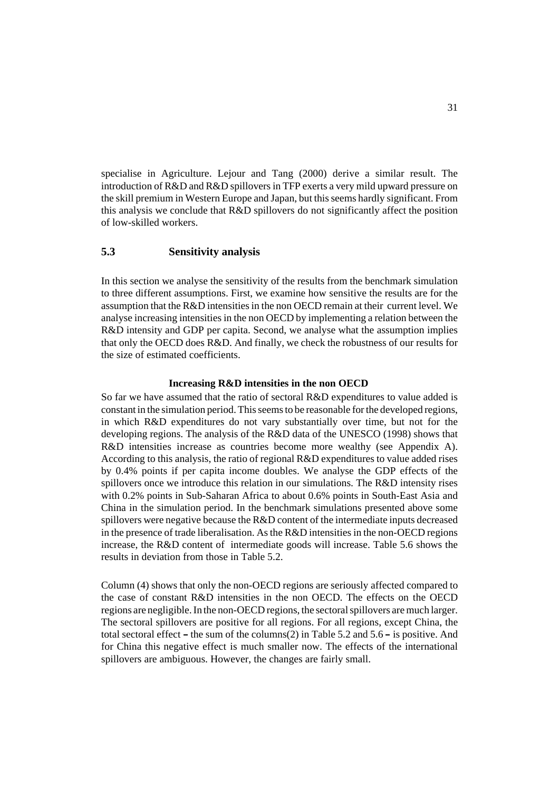specialise in Agriculture. Lejour and Tang (2000) derive a similar result. The introduction of R&D and R&D spillovers in TFP exerts a very mild upward pressure on the skill premium in Western Europe and Japan, but this seems hardly significant. From this analysis we conclude that R&D spillovers do not significantly affect the position of low-skilled workers.

# **5.3 Sensitivity analysis**

In this section we analyse the sensitivity of the results from the benchmark simulation to three different assumptions. First, we examine how sensitive the results are for the assumption that the R&D intensities in the non OECD remain at their current level. We analyse increasing intensities in the non OECD by implementing a relation between the R&D intensity and GDP per capita. Second, we analyse what the assumption implies that only the OECD does R&D. And finally, we check the robustness of our results for the size of estimated coefficients.

#### **Increasing R&D intensities in the non OECD**

So far we have assumed that the ratio of sectoral R&D expenditures to value added is constant in the simulation period. This seems to be reasonable for the developed regions, in which R&D expenditures do not vary substantially over time, but not for the developing regions. The analysis of the R&D data of the UNESCO (1998) shows that R&D intensities increase as countries become more wealthy (see Appendix A). According to this analysis, the ratio of regional R&D expenditures to value added rises by 0.4% points if per capita income doubles. We analyse the GDP effects of the spillovers once we introduce this relation in our simulations. The R&D intensity rises with 0.2% points in Sub-Saharan Africa to about 0.6% points in South-East Asia and China in the simulation period. In the benchmark simulations presented above some spillovers were negative because the R&D content of the intermediate inputs decreased in the presence of trade liberalisation. As the R&D intensities in the non-OECD regions increase, the R&D content of intermediate goods will increase. Table 5.6 shows the results in deviation from those in Table 5.2.

Column (4) shows that only the non-OECD regions are seriously affected compared to the case of constant R&D intensities in the non OECD. The effects on the OECD regions are negligible. In the non-OECD regions, the sectoral spillovers are much larger. The sectoral spillovers are positive for all regions. For all regions, except China, the total sectoral effect – the sum of the columns $(2)$  in Table 5.2 and 5.6 – is positive. And - the sum of the columns(2) in Table 5.2 and 5.6 - is positive. And<br>tive effect is much smaller now. The effects of the international<br>guous. However, the changes are fairly small. for China this negative effect is much smaller now. The effects of the international spillovers are ambiguous. However, the changes are fairly small.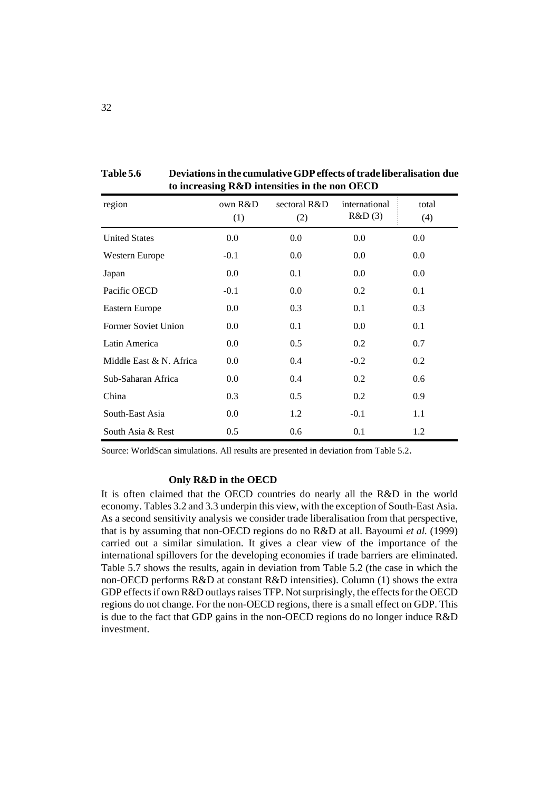|                         |                | to mercasing <i>recep</i> intensities in the non-ODCD |                         |              |
|-------------------------|----------------|-------------------------------------------------------|-------------------------|--------------|
| region                  | own R&D<br>(1) | sectoral R&D<br>(2)                                   | international<br>R&D(3) | total<br>(4) |
| <b>United States</b>    | 0.0            | 0.0                                                   | 0.0                     | 0.0          |
| Western Europe          | $-0.1$         | $0.0\,$                                               | 0.0                     | 0.0          |
| Japan                   | $0.0\,$        | 0.1                                                   | 0.0                     | 0.0          |
| Pacific OECD            | $-0.1$         | 0.0                                                   | 0.2                     | 0.1          |
| Eastern Europe          | 0.0            | 0.3                                                   | 0.1                     | 0.3          |
| Former Soviet Union     | $0.0\,$        | 0.1                                                   | 0.0                     | 0.1          |
| Latin America           | $0.0\,$        | 0.5                                                   | 0.2                     | 0.7          |
| Middle East & N. Africa | 0.0            | 0.4                                                   | $-0.2$                  | 0.2          |
| Sub-Saharan Africa      | $0.0\,$        | 0.4                                                   | 0.2                     | 0.6          |
| China                   | 0.3            | 0.5                                                   | 0.2                     | 0.9          |
| South-East Asia         | $0.0\,$        | 1.2                                                   | $-0.1$                  | 1.1          |
| South Asia & Rest       | 0.5            | 0.6                                                   | 0.1                     | 1.2          |

**Table 5.6 Deviations in the cumulative GDP effects of trade liberalisation due to increasing R&D intensities in the non OECD**

Source: WorldScan simulations. All results are presented in deviation from Table 5.2.

#### **Only R&D in the OECD**

It is often claimed that the OECD countries do nearly all the R&D in the world economy. Tables 3.2 and 3.3 underpin this view, with the exception of South-East Asia. As a second sensitivity analysis we consider trade liberalisation from that perspective, that is by assuming that non-OECD regions do no R&D at all. Bayoumi *et al.* (1999) carried out a similar simulation. It gives a clear view of the importance of the international spillovers for the developing economies if trade barriers are eliminated. Table 5.7 shows the results, again in deviation from Table 5.2 (the case in which the non-OECD performs R&D at constant R&D intensities). Column (1) shows the extra GDP effects if own R&D outlays raises TFP. Not surprisingly, the effects for the OECD regions do not change. For the non-OECD regions, there is a small effect on GDP. This is due to the fact that GDP gains in the non-OECD regions do no longer induce R&D investment.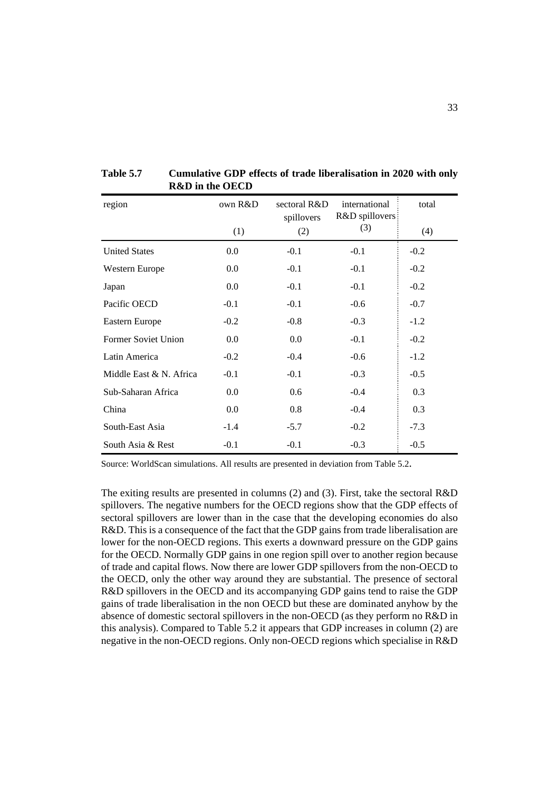| region                  | own R&D |        | international<br>R&D spillovers: | total  |
|-------------------------|---------|--------|----------------------------------|--------|
|                         | (1)     | (2)    | (3)                              | (4)    |
| <b>United States</b>    | 0.0     | $-0.1$ | $-0.1$                           | $-0.2$ |
| <b>Western Europe</b>   | 0.0     | $-0.1$ | $-0.1$                           | $-0.2$ |
| Japan                   | 0.0     | $-0.1$ | $-0.1$                           | $-0.2$ |
| Pacific OECD            | $-0.1$  | $-0.1$ | $-0.6$                           | $-0.7$ |
| Eastern Europe          | $-0.2$  | $-0.8$ | $-0.3$                           | $-1.2$ |
| Former Soviet Union     | 0.0     | 0.0    | $-0.1$                           | $-0.2$ |
| Latin America           | $-0.2$  | $-0.4$ | $-0.6$                           | $-1.2$ |
| Middle East & N. Africa | $-0.1$  | $-0.1$ | $-0.3$                           | $-0.5$ |
| Sub-Saharan Africa      | 0.0     | 0.6    | $-0.4$                           | 0.3    |
| China                   | 0.0     | 0.8    | $-0.4$                           | 0.3    |
| South-East Asia         | $-1.4$  | $-5.7$ | $-0.2$                           | $-7.3$ |
| South Asia & Rest       | $-0.1$  | $-0.1$ | $-0.3$                           | $-0.5$ |

**Table 5.7 Cumulative GDP effects of trade liberalisation in 2020 with only R&D in the OECD**

Source: WorldScan simulations. All results are presented in deviation from Table 5.2.

The exiting results are presented in columns (2) and (3). First, take the sectoral R&D spillovers. The negative numbers for the OECD regions show that the GDP effects of sectoral spillovers are lower than in the case that the developing economies do also R&D. This is a consequence of the fact that the GDP gains from trade liberalisation are lower for the non-OECD regions. This exerts a downward pressure on the GDP gains for the OECD. Normally GDP gains in one region spill over to another region because of trade and capital flows. Now there are lower GDP spillovers from the non-OECD to the OECD, only the other way around they are substantial. The presence of sectoral R&D spillovers in the OECD and its accompanying GDP gains tend to raise the GDP gains of trade liberalisation in the non OECD but these are dominated anyhow by the absence of domestic sectoral spillovers in the non-OECD (as they perform no R&D in this analysis). Compared to Table 5.2 it appears that GDP increases in column (2) are negative in the non-OECD regions. Only non-OECD regions which specialise in R&D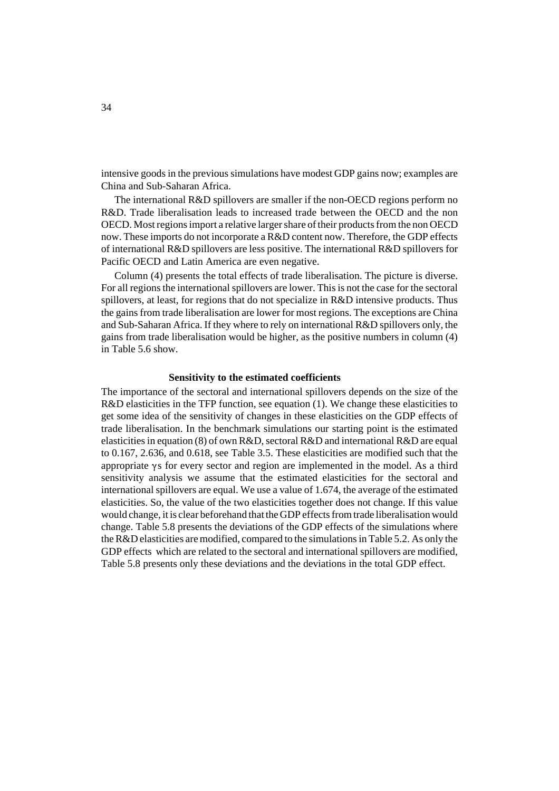intensive goods in the previous simulations have modest GDP gains now; examples are China and Sub-Saharan Africa.

The international R&D spillovers are smaller if the non-OECD regions perform no R&D. Trade liberalisation leads to increased trade between the OECD and the non OECD. Most regions import a relative larger share of their products from the non OECD now. These imports do not incorporate a R&D content now. Therefore, the GDP effects of international R&D spillovers are less positive. The international R&D spillovers for Pacific OECD and Latin America are even negative.

Column (4) presents the total effects of trade liberalisation. The picture is diverse. For all regions the international spillovers are lower. This is not the case for the sectoral spillovers, at least, for regions that do not specialize in R&D intensive products. Thus the gains from trade liberalisation are lower for most regions. The exceptions are China and Sub-Saharan Africa. If they where to rely on international R&D spillovers only, the gains from trade liberalisation would be higher, as the positive numbers in column (4) in Table 5.6 show.

#### **Sensitivity to the estimated coefficients**

The importance of the sectoral and international spillovers depends on the size of the R&D elasticities in the TFP function, see equation (1). We change these elasticities to get some idea of the sensitivity of changes in these elasticities on the GDP effects of trade liberalisation. In the benchmark simulations our starting point is the estimated elasticities in equation (8) of own R&D, sectoral R&D and international R&D are equal to 0.167, 2.636, and 0.618, see Table 3.5. These elasticities are modified such that the appropriate  $\gamma s$  for every sector and region are implemented in the model. As a third sensitivity analysis we assume that the estimated elasticities for the sectoral and international spillovers are equal. We use a value of 1.674, the average of the estimated elasticities. So, the value of the two elasticities together does not change. If this value would change, it is clear beforehand that the GDP effects from trade liberalisation would change. Table 5.8 presents the deviations of the GDP effects of the simulations where the R&D elasticities are modified, compared to the simulations in Table 5.2. As only the GDP effects which are related to the sectoral and international spillovers are modified, Table 5.8 presents only these deviations and the deviations in the total GDP effect.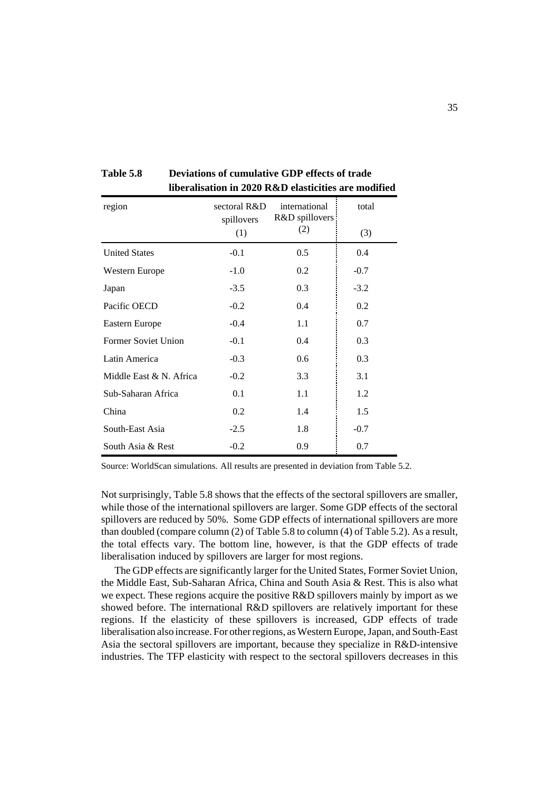| region                  | sectoral R&D<br>spillovers | international<br>R&D spillovers<br>(2) | total  |
|-------------------------|----------------------------|----------------------------------------|--------|
|                         | (1)                        |                                        | (3)    |
| <b>United States</b>    | $-0.1$                     | 0.5                                    | 0.4    |
| Western Europe          | $-1.0$                     | 0.2                                    | $-0.7$ |
| Japan                   | $-3.5$                     | 0.3                                    | $-3.2$ |
| Pacific OECD            | $-0.2$                     | 0.4                                    | 0.2    |
| Eastern Europe          | $-0.4$                     | 1.1                                    | 0.7    |
| Former Soviet Union     | $-0.1$                     | 0.4                                    | 0.3    |
| Latin America           | $-0.3$                     | 0.6                                    | 0.3    |
| Middle East & N. Africa | $-0.2$                     | 3.3                                    | 3.1    |
| Sub-Saharan Africa      | 0.1                        | 1.1                                    | 1.2    |
| China                   | 0.2                        | 1.4                                    | 1.5    |
| South-East Asia         | $-2.5$                     | 1.8                                    | $-0.7$ |
| South Asia & Rest       | $-0.2$                     | 0.9                                    | 0.7    |

**Table 5.8 Deviations of cumulative GDP effects of trade liberalisation in 2020 R&D elasticities are modified**

Source: WorldScan simulations. All results are presented in deviation from Table 5.2.

Not surprisingly, Table 5.8 shows that the effects of the sectoral spillovers are smaller, while those of the international spillovers are larger. Some GDP effects of the sectoral spillovers are reduced by 50%. Some GDP effects of international spillovers are more than doubled (compare column (2) of Table 5.8 to column (4) of Table 5.2). As a result, the total effects vary. The bottom line, however, is that the GDP effects of trade liberalisation induced by spillovers are larger for most regions.

The GDP effects are significantly larger for the United States, Former Soviet Union, the Middle East, Sub-Saharan Africa, China and South Asia & Rest. This is also what we expect. These regions acquire the positive R&D spillovers mainly by import as we showed before. The international R&D spillovers are relatively important for these regions. If the elasticity of these spillovers is increased, GDP effects of trade liberalisation also increase. For other regions, as Western Europe, Japan, and South-East Asia the sectoral spillovers are important, because they specialize in R&D-intensive industries. The TFP elasticity with respect to the sectoral spillovers decreases in this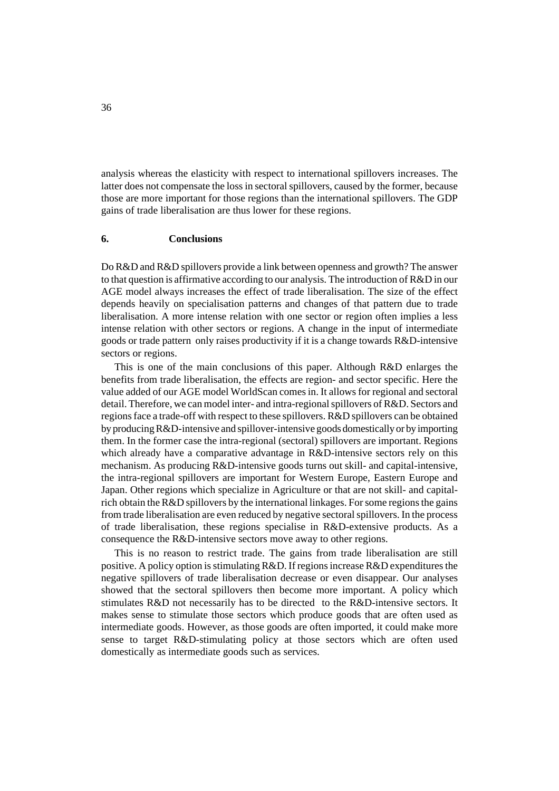analysis whereas the elasticity with respect to international spillovers increases. The latter does not compensate the loss in sectoral spillovers, caused by the former, because those are more important for those regions than the international spillovers. The GDP gains of trade liberalisation are thus lower for these regions.

#### **6. Conclusions**

Do R&D and R&D spillovers provide a link between openness and growth? The answer to that question is affirmative according to our analysis. The introduction of R&D in our AGE model always increases the effect of trade liberalisation. The size of the effect depends heavily on specialisation patterns and changes of that pattern due to trade liberalisation. A more intense relation with one sector or region often implies a less intense relation with other sectors or regions. A change in the input of intermediate goods or trade pattern only raises productivity if it is a change towards R&D-intensive sectors or regions.

This is one of the main conclusions of this paper. Although R&D enlarges the benefits from trade liberalisation, the effects are region- and sector specific. Here the value added of our AGE model WorldScan comes in. It allows for regional and sectoral detail. Therefore, we can model inter- and intra-regional spillovers of R&D. Sectors and regions face a trade-off with respect to these spillovers. R&D spillovers can be obtained by producing R&D-intensive and spillover-intensive goods domestically or by importing them. In the former case the intra-regional (sectoral) spillovers are important. Regions which already have a comparative advantage in R&D-intensive sectors rely on this mechanism. As producing R&D-intensive goods turns out skill- and capital-intensive, the intra-regional spillovers are important for Western Europe, Eastern Europe and Japan. Other regions which specialize in Agriculture or that are not skill- and capitalrich obtain the R&D spillovers by the international linkages. For some regions the gains from trade liberalisation are even reduced by negative sectoral spillovers. In the process of trade liberalisation, these regions specialise in R&D-extensive products. As a consequence the R&D-intensive sectors move away to other regions.

This is no reason to restrict trade. The gains from trade liberalisation are still positive. A policy option is stimulating R&D. If regions increase R&D expenditures the negative spillovers of trade liberalisation decrease or even disappear. Our analyses showed that the sectoral spillovers then become more important. A policy which stimulates R&D not necessarily has to be directed to the R&D-intensive sectors. It makes sense to stimulate those sectors which produce goods that are often used as intermediate goods. However, as those goods are often imported, it could make more sense to target R&D-stimulating policy at those sectors which are often used domestically as intermediate goods such as services.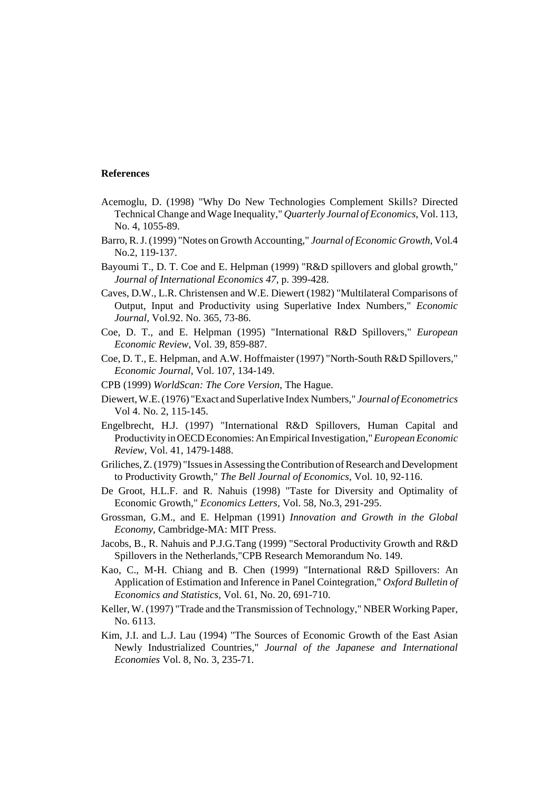#### **References**

- Acemoglu, D. (1998) "Why Do New Technologies Complement Skills? Directed Technical Change and Wage Inequality," *Quarterly Journal of Economics*, Vol. 113, No. 4, 1055-89.
- Barro, R. J. (1999) "Notes on Growth Accounting," *Journal of Economic Growth*, Vol.4 No.2, 119-137.
- Bayoumi T., D. T. Coe and E. Helpman (1999) "R&D spillovers and global growth," *Journal of International Economics 47*, p. 399-428.
- Caves, D.W., L.R. Christensen and W.E. Diewert (1982) "Multilateral Comparisons of Output, Input and Productivity using Superlative Index Numbers," *Economic Journal*, Vol.92. No. 365, 73-86.
- Coe, D. T., and E. Helpman (1995) "International R&D Spillovers," *European Economic Review*, Vol. 39, 859-887.
- Coe, D. T., E. Helpman, and A.W. Hoffmaister (1997) "North-South R&D Spillovers," *Economic Journal*, Vol. 107, 134-149.
- CPB (1999) *WorldScan: The Core Version*, The Hague.
- Diewert, W.E. (1976) "Exact and Superlative Index Numbers," *Journal of Econometrics* Vol 4. No. 2, 115-145.
- Engelbrecht, H.J. (1997) "International R&D Spillovers, Human Capital and Productivity in OECD Economies: An Empirical Investigation," *European Economic Review*, Vol. 41, 1479-1488.
- Griliches, Z. (1979) "Issues in Assessing the Contribution of Research and Development to Productivity Growth," *The Bell Journal of Economics*, Vol. 10, 92-116.
- De Groot, H.L.F. and R. Nahuis (1998) "Taste for Diversity and Optimality of Economic Growth," *Economics Letters,* Vol. 58, No.3, 291-295.
- Grossman, G.M., and E. Helpman (1991) *Innovation and Growth in the Global Economy*, Cambridge-MA: MIT Press.
- Jacobs, B., R. Nahuis and P.J.G.Tang (1999) "Sectoral Productivity Growth and R&D Spillovers in the Netherlands,"CPB Research Memorandum No. 149.
- Kao, C., M-H. Chiang and B. Chen (1999) "International R&D Spillovers: An Application of Estimation and Inference in Panel Cointegration," *Oxford Bulletin of Economics and Statistics*, Vol. 61, No. 20, 691-710.
- Keller, W. (1997) "Trade and the Transmission of Technology," NBER Working Paper, No. 6113.
- Kim, J.I. and L.J. Lau (1994) "The Sources of Economic Growth of the East Asian Newly Industrialized Countries," *Journal of the Japanese and International Economies* Vol. 8, No. 3, 235-71.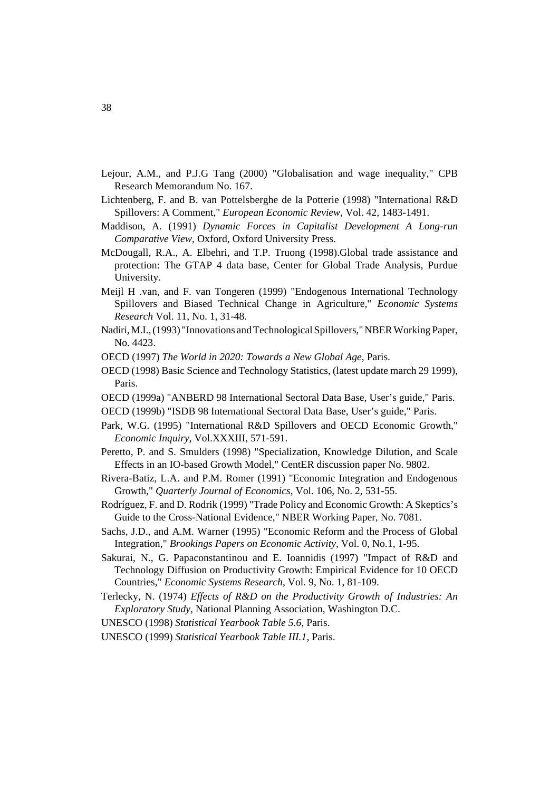- Lejour, A.M., and P.J.G Tang (2000) "Globalisation and wage inequality," CPB Research Memorandum No. 167.
- Lichtenberg, F. and B. van Pottelsberghe de la Potterie (1998) "International R&D Spillovers: A Comment," *European Economic Review*, Vol. 42, 1483-1491.
- Maddison, A. (1991) *Dynamic Forces in Capitalist Development A Long-run Comparative View*, Oxford, Oxford University Press.
- McDougall, R.A., A. Elbehri, and T.P. Truong (1998).Global trade assistance and protection: The GTAP 4 data base, Center for Global Trade Analysis, Purdue University.
- Meijl H .van, and F. van Tongeren (1999) "Endogenous International Technology Spillovers and Biased Technical Change in Agriculture," *Economic Systems Research* Vol. 11, No. 1, 31-48.
- Nadiri, M.I., (1993) "Innovations and Technological Spillovers," NBER Working Paper, No. 4423.
- OECD (1997) *The World in 2020: Towards a New Global Age*, Paris.
- OECD (1998) Basic Science and Technology Statistics, (latest update march 29 1999), Paris.
- OECD (1999a) "ANBERD 98 International Sectoral Data Base, User's guide," Paris.
- OECD (1999b) "ISDB 98 International Sectoral Data Base, User's guide," Paris.
- Park, W.G. (1995) "International R&D Spillovers and OECD Economic Growth," *Economic Inquiry*, Vol.XXXIII, 571-591.
- Peretto, P. and S. Smulders (1998) "Specialization, Knowledge Dilution, and Scale Effects in an IO-based Growth Model," CentER discussion paper No. 9802.
- Rivera-Batiz, L.A. and P.M. Romer (1991) "Economic Integration and Endogenous Growth," *Quarterly Journal of Economics*, Vol. 106, No. 2, 531-55.
- Rodríguez, F. and D. Rodrik (1999) "Trade Policy and Economic Growth: A Skeptics's Guide to the Cross-National Evidence," NBER Working Paper, No. 7081.
- Sachs, J.D., and A.M. Warner (1995) "Economic Reform and the Process of Global Integration," *Brookings Papers on Economic Activity*, Vol. 0, No.1, 1-95.
- Sakurai, N., G. Papaconstantinou and E. Ioannidis (1997) "Impact of R&D and Technology Diffusion on Productivity Growth: Empirical Evidence for 10 OECD Countries," *Economic Systems Research*, Vol. 9, No. 1, 81-109.
- Terlecky, N. (1974) *Effects of R&D on the Productivity Growth of Industries: An Exploratory Study*, National Planning Association, Washington D.C.
- UNESCO (1998) *Statistical Yearbook Table 5.6*, Paris.
- UNESCO (1999) *Statistical Yearbook Table III.1*, Paris.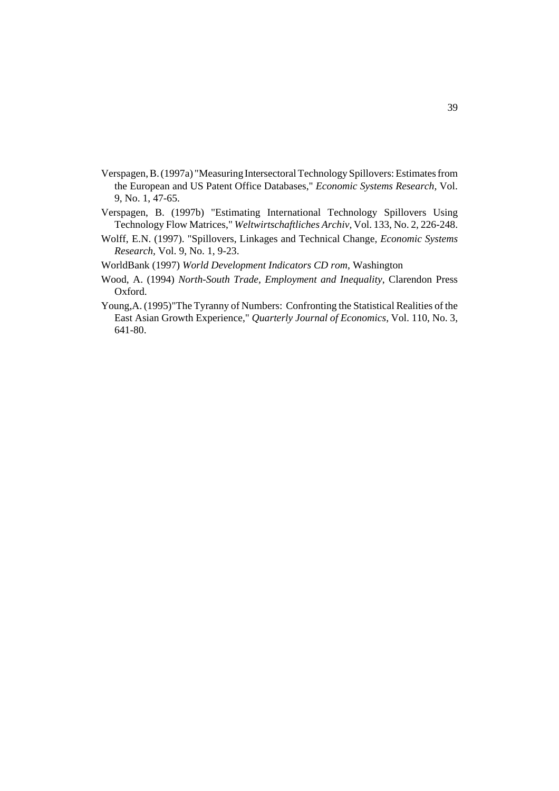- Verspagen, B. (1997a) "Measuring Intersectoral Technology Spillovers: Estimates from the European and US Patent Office Databases," *Economic Systems Research,* Vol. 9, No. 1, 47-65.
- Verspagen, B. (1997b) "Estimating International Technology Spillovers Using Technology Flow Matrices," *Weltwirtschaftliches Archiv,* Vol. 133, No. 2, 226-248.
- Wolff, E.N. (1997). "Spillovers, Linkages and Technical Change, *Economic Systems Research,* Vol. 9, No. 1, 9-23.
- WorldBank (1997) *World Development Indicators CD rom*, Washington
- Wood, A. (1994) *North-South Trade, Employment and Inequality*, Clarendon Press Oxford.
- Young,A. (1995)"The Tyranny of Numbers: Confronting the Statistical Realities of the East Asian Growth Experience," *Quarterly Journal of Economics*, Vol. 110, No. 3, 641-80.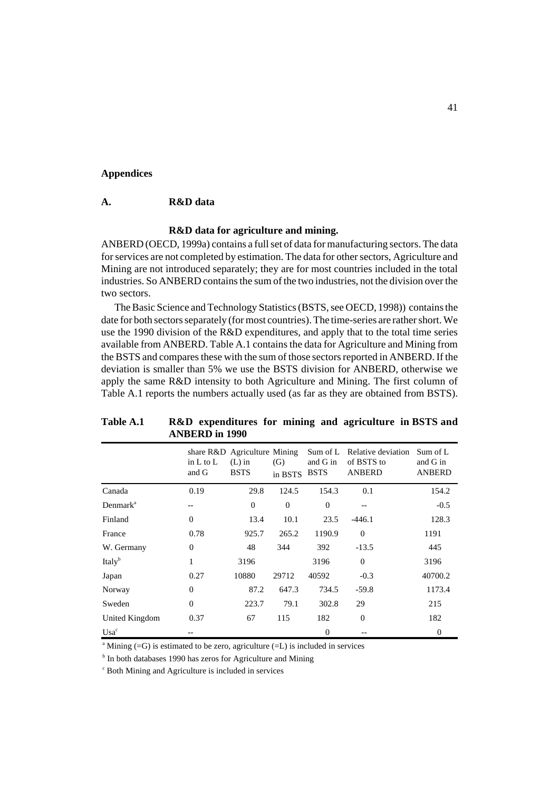#### **Appendices**

### **A. R&D data**

# **R&D data for agriculture and mining.**

ANBERD (OECD, 1999a) contains a full set of data for manufacturing sectors. The data for services are not completed by estimation. The data for other sectors, Agriculture and Mining are not introduced separately; they are for most countries included in the total industries. So ANBERD contains the sum of the two industries, not the division over the two sectors.

The Basic Science and Technology Statistics (BSTS, see OECD, 1998)) contains the date for both sectors separately (for most countries). The time-series are rather short. We use the 1990 division of the R&D expenditures, and apply that to the total time series available from ANBERD. Table A.1 contains the data for Agriculture and Mining from the BSTS and compares these with the sum of those sectors reported in ANBERD. If the deviation is smaller than 5% we use the BSTS division for ANBERD, otherwise we apply the same R&D intensity to both Agriculture and Mining. The first column of Table A.1 reports the numbers actually used (as far as they are obtained from BSTS).

|                      | in $L$ to $L$<br>and G | share R&D Agriculture Mining<br>$(L)$ in<br><b>BSTS</b> | (G)<br>in BSTS | Sum of L<br>and G in<br><b>BSTS</b> | Relative deviation<br>of BSTS to<br><b>ANBERD</b> | Sum of L<br>and G in<br><b>ANBERD</b> |
|----------------------|------------------------|---------------------------------------------------------|----------------|-------------------------------------|---------------------------------------------------|---------------------------------------|
| Canada               | 0.19                   | 29.8                                                    | 124.5          | 154.3                               | 0.1                                               | 154.2                                 |
| Denmark <sup>a</sup> | --                     | $\overline{0}$                                          | $\mathbf{0}$   | $\mathbf{0}$                        | --                                                | $-0.5$                                |
| Finland              | $\Omega$               | 13.4                                                    | 10.1           | 23.5                                | $-446.1$                                          | 128.3                                 |
| France               | 0.78                   | 925.7                                                   | 265.2          | 1190.9                              | $\Omega$                                          | 1191                                  |
| W. Germany           | $\mathbf{0}$           | 48                                                      | 344            | 392                                 | $-13.5$                                           | 445                                   |
| Italy <sup>b</sup>   | 1                      | 3196                                                    |                | 3196                                | $\Omega$                                          | 3196                                  |
| Japan                | 0.27                   | 10880                                                   | 29712          | 40592                               | $-0.3$                                            | 40700.2                               |
| Norway               | $\overline{0}$         | 87.2                                                    | 647.3          | 734.5                               | $-59.8$                                           | 1173.4                                |
| Sweden               | $\Omega$               | 223.7                                                   | 79.1           | 302.8                               | 29                                                | 215                                   |
| United Kingdom       | 0.37                   | 67                                                      | 115            | 182                                 | $\Omega$                                          | 182                                   |
| $Usa^c$              |                        |                                                         |                | $\mathbf{0}$                        |                                                   | $\theta$                              |

**Table A.1 R&D expenditures for mining and agriculture in BSTS and ANBERD in 1990**

<sup>a</sup> Mining (=G) is estimated to be zero, agriculture (=L) is included in services

<sup>b</sup> In both databases 1990 has zeros for Agriculture and Mining

c Both Mining and Agriculture is included in services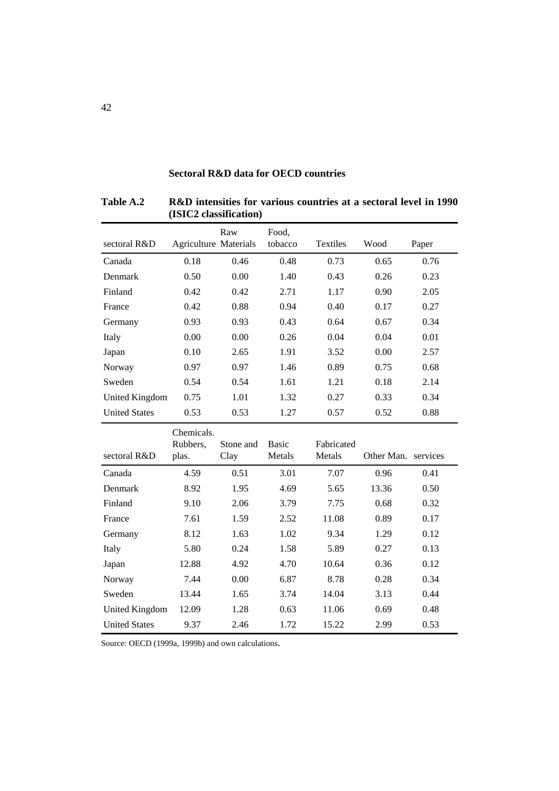|                      | (ISICZ classification)       |      |                  |                 |      |       |
|----------------------|------------------------------|------|------------------|-----------------|------|-------|
| sectoral R&D         | <b>Agriculture Materials</b> | Raw  | Food,<br>tobacco | <b>Textiles</b> | Wood | Paper |
| Canada               | 0.18                         | 0.46 | 0.48             | 0.73            | 0.65 | 0.76  |
| Denmark              | 0.50                         | 0.00 | 1.40             | 0.43            | 0.26 | 0.23  |
| Finland              | 0.42                         | 0.42 | 2.71             | 1.17            | 0.90 | 2.05  |
| France               | 0.42                         | 0.88 | 0.94             | 0.40            | 0.17 | 0.27  |
| Germany              | 0.93                         | 0.93 | 0.43             | 0.64            | 0.67 | 0.34  |
| Italy                | 0.00                         | 0.00 | 0.26             | 0.04            | 0.04 | 0.01  |
| Japan                | 0.10                         | 2.65 | 1.91             | 3.52            | 0.00 | 2.57  |
| Norway               | 0.97                         | 0.97 | 1.46             | 0.89            | 0.75 | 0.68  |
| Sweden               | 0.54                         | 0.54 | 1.61             | 1.21            | 0.18 | 2.14  |
| United Kingdom       | 0.75                         | 1.01 | 1.32             | 0.27            | 0.33 | 0.34  |
| <b>United States</b> | 0.53                         | 0.53 | 1.27             | 0.57            | 0.52 | 0.88  |
|                      | Chemicals.                   |      |                  |                 |      |       |

# **Sectoral R&D data for OECD countries**

**Table A.2 R&D intensities for various countries at a sectoral level in 1990 (ISIC2 classification)**

|                      | Ununivano.<br>Rubbers, | Stone and | <b>Basic</b> | Fabricated |            |          |
|----------------------|------------------------|-----------|--------------|------------|------------|----------|
| sectoral R&D         | plas.                  | Clay      | Metals       | Metals     | Other Man. | services |
| Canada               | 4.59                   | 0.51      | 3.01         | 7.07       | 0.96       | 0.41     |
| <b>Denmark</b>       | 8.92                   | 1.95      | 4.69         | 5.65       | 13.36      | 0.50     |
| Finland              | 9.10                   | 2.06      | 3.79         | 7.75       | 0.68       | 0.32     |
| France               | 7.61                   | 1.59      | 2.52         | 11.08      | 0.89       | 0.17     |
| Germany              | 8.12                   | 1.63      | 1.02         | 9.34       | 1.29       | 0.12     |
| Italy                | 5.80                   | 0.24      | 1.58         | 5.89       | 0.27       | 0.13     |
| Japan                | 12.88                  | 4.92      | 4.70         | 10.64      | 0.36       | 0.12     |
| Norway               | 7.44                   | 0.00      | 6.87         | 8.78       | 0.28       | 0.34     |
| Sweden               | 13.44                  | 1.65      | 3.74         | 14.04      | 3.13       | 0.44     |
| United Kingdom       | 12.09                  | 1.28      | 0.63         | 11.06      | 0.69       | 0.48     |
| <b>United States</b> | 9.37                   | 2.46      | 1.72         | 15.22      | 2.99       | 0.53     |

Source: OECD (1999a, 1999b) and own calculations.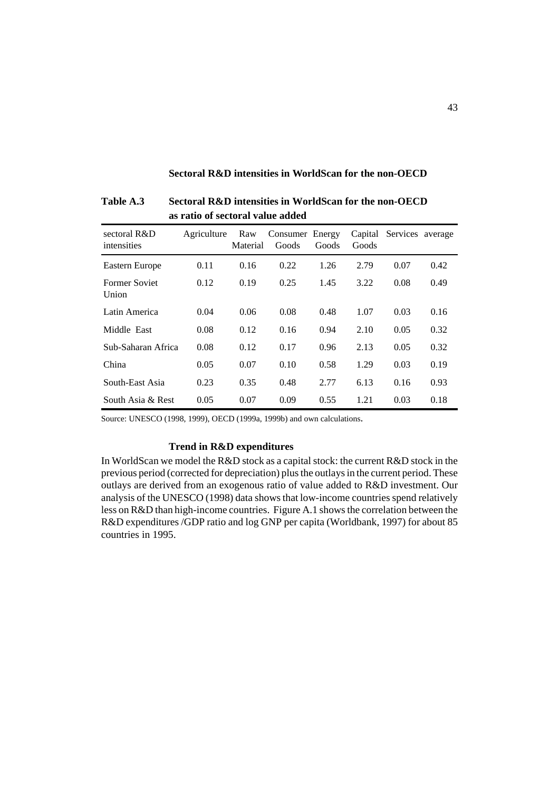# **Sectoral R&D intensities in WorldScan for the non-OECD**

| sectoral R&D<br>intensities   | Agriculture | Raw<br>Material | Consumer Energy<br>Goods | Goods | Capital<br>Goods | Services average |      |
|-------------------------------|-------------|-----------------|--------------------------|-------|------------------|------------------|------|
| Eastern Europe                | 0.11        | 0.16            | 0.22                     | 1.26  | 2.79             | 0.07             | 0.42 |
| <b>Former Soviet</b><br>Union | 0.12        | 0.19            | 0.25                     | 1.45  | 3.22             | 0.08             | 0.49 |
| Latin America                 | 0.04        | 0.06            | 0.08                     | 0.48  | 1.07             | 0.03             | 0.16 |
| Middle East                   | 0.08        | 0.12            | 0.16                     | 0.94  | 2.10             | 0.05             | 0.32 |
| Sub-Saharan Africa            | 0.08        | 0.12            | 0.17                     | 0.96  | 2.13             | 0.05             | 0.32 |
| China                         | 0.05        | 0.07            | 0.10                     | 0.58  | 1.29             | 0.03             | 0.19 |
| South-East Asia               | 0.23        | 0.35            | 0.48                     | 2.77  | 6.13             | 0.16             | 0.93 |
| South Asia $\&$ Rest          | 0.05        | 0.07            | 0.09                     | 0.55  | 1.21             | 0.03             | 0.18 |

**Table A.3 Sectoral R&D intensities in WorldScan for the non-OECD as ratio of sectoral value added** 

Source: UNESCO (1998, 1999), OECD (1999a, 1999b) and own calculations.

# **Trend in R&D expenditures**

In WorldScan we model the R&D stock as a capital stock: the current R&D stock in the previous period (corrected for depreciation) plus the outlays in the current period. These outlays are derived from an exogenous ratio of value added to R&D investment. Our analysis of the UNESCO (1998) data shows that low-income countries spend relatively less on R&D than high-income countries. Figure A.1 shows the correlation between the R&D expenditures /GDP ratio and log GNP per capita (Worldbank, 1997) for about 85 countries in 1995.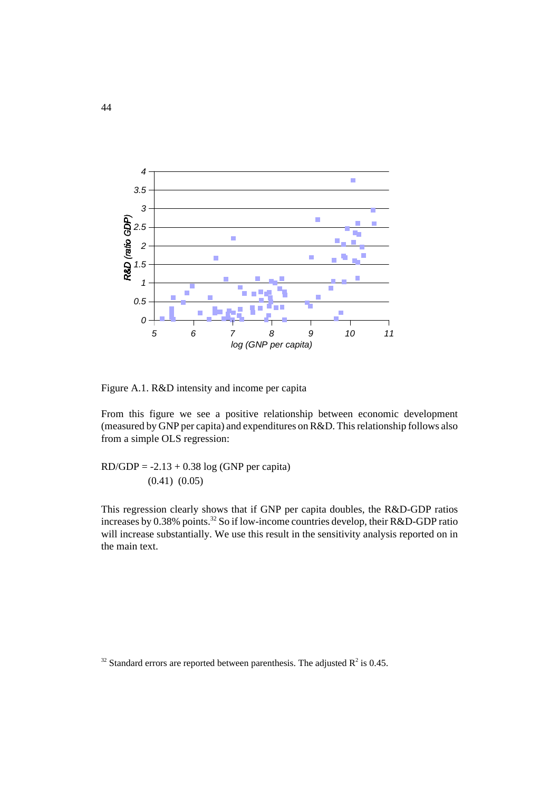

Figure A.1. R&D intensity and income per capita

From this figure we see a positive relationship between economic development (measured by GNP per capita) and expenditures on R&D. This relationship follows also from a simple OLS regression:

 $RD/GDP = -2.13 + 0.38 \log(GNP)$  per capita) (0.41) (0.05)

This regression clearly shows that if GNP per capita doubles, the R&D-GDP ratios increases by 0.38% points.<sup>32</sup> So if low-income countries develop, their R&D-GDP ratio will increase substantially. We use this result in the sensitivity analysis reported on in the main text.

<sup>&</sup>lt;sup>32</sup> Standard errors are reported between parenthesis. The adjusted  $R^2$  is 0.45.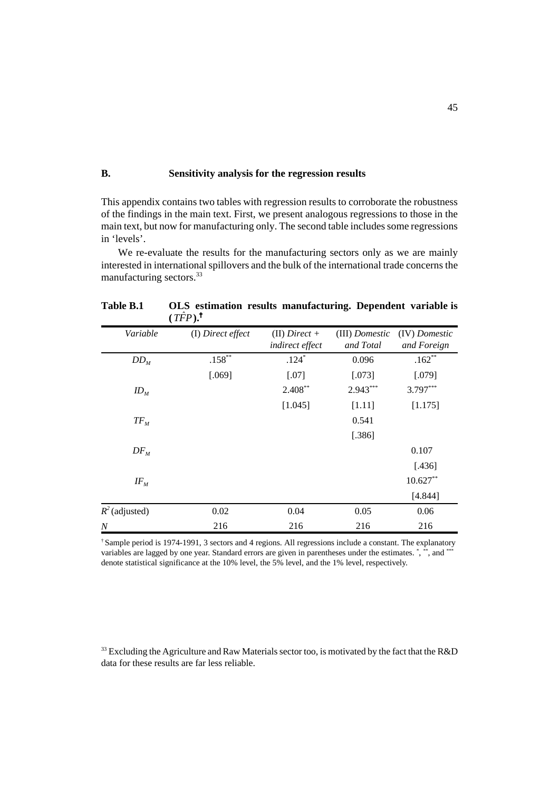# **B. Sensitivity analysis for the regression results**

This appendix contains two tables with regression results to corroborate the robustness of the findings in the main text. First, we present analogous regressions to those in the main text, but now for manufacturing only. The second table includes some regressions in 'levels'.

 We re-evaluate the results for the manufacturing sectors only as we are mainly interested in international spillovers and the bulk of the international trade concerns the manufacturing sectors.<sup>33</sup>

|                  | $(III)$ .         |                                    |                             |                              |
|------------------|-------------------|------------------------------------|-----------------------------|------------------------------|
| Variable         | (I) Direct effect | $(II)$ Direct +<br>indirect effect | (III) Domestic<br>and Total | (IV) Domestic<br>and Foreign |
| $DD_{M}$         | $.158***$         | $.124*$                            | 0.096                       | $.162**$                     |
|                  | [.069]            | $[.07]$                            | [.073]                      | [.079]                       |
| $ID_M$           |                   | $2.408***$                         | $2.943***$                  | $3.797***$                   |
|                  |                   | [1.045]                            | [1.11]                      | [1.175]                      |
| $TF_{M}$         |                   |                                    | 0.541                       |                              |
|                  |                   |                                    | [.386]                      |                              |
| $DF_M$           |                   |                                    |                             | 0.107                        |
|                  |                   |                                    |                             | [.436]                       |
| $I\!F_M$         |                   |                                    |                             | $10.627**$                   |
|                  |                   |                                    |                             | [4.844]                      |
| $R^2$ (adjusted) | 0.02              | 0.04                               | 0.05                        | 0.06                         |
| $\boldsymbol{N}$ | 216               | 216                                | 216                         | 216                          |

**Table B.1 OLS estimation results manufacturing. Dependent variable is**  $(\hat{\pi} \hat{r}$  $)$ .  $\dagger$ 

† Sample period is 1974-1991, 3 sectors and 4 regions. All regressions include a constant. The explanatory variables are lagged by one year. Standard errors are given in parentheses under the estimates. \*, \*\*\*, and \*\*\* denote statistical significance at the 10% level, the 5% level, and the 1% level, respectively.

 $33$  Excluding the Agriculture and Raw Materials sector too, is motivated by the fact that the R&D data for these results are far less reliable.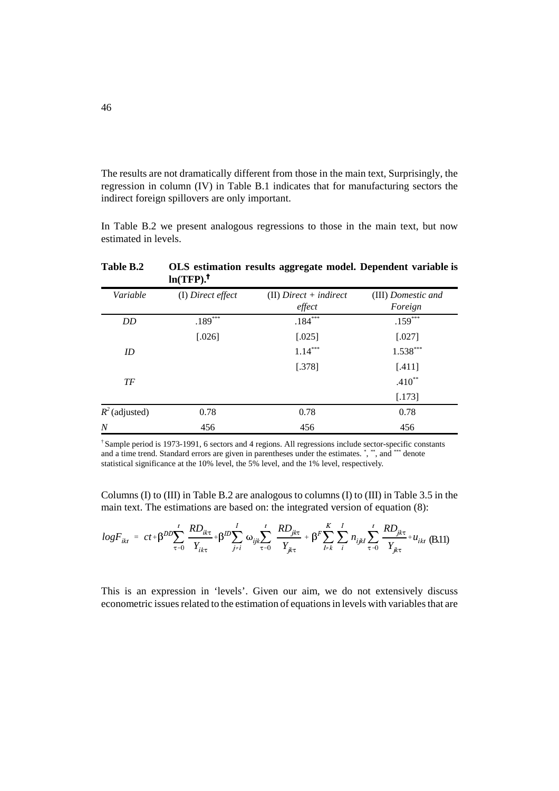The results are not dramatically different from those in the main text, Surprisingly, the regression in column (IV) in Table B.1 indicates that for manufacturing sectors the indirect foreign spillovers are only important.

In Table B.2 we present analogous regressions to those in the main text, but now estimated in levels.

|                  | $111 \pm 11$      |                                    |                               |
|------------------|-------------------|------------------------------------|-------------------------------|
| Variable         | (I) Direct effect | $(II)$ Direct + indirect<br>effect | (III) Domestic and<br>Foreign |
| DD               | $.189***$         | $.184***$                          | $.159***$                     |
|                  | [.026]            | $[.025]$                           | $[.027]$                      |
| ID               |                   | $1.14***$                          | $1.538***$                    |
|                  |                   | [.378]                             | $[.411]$                      |
| TF               |                   |                                    | $.410**$                      |
|                  |                   |                                    | [.173]                        |
| $R^2$ (adjusted) | 0.78              | 0.78                               | 0.78                          |
| $\overline{N}$   | 456               | 456                                | 456                           |

**Table B.2 OLS estimation results aggregate model. Dependent variable is ln(TFP).**

† Sample period is 1973-1991, 6 sectors and 4 regions. All regressions include sector-specific constants and a time trend. Standard errors are given in parentheses under the estimates. \*, \*\*, and \*\*\* denote statistical significance at the 10% level, the 5% level, and the 1% level, respectively.

Columns (I) to (III) in Table B.2 are analogous to columns (I) to (III) in Table 3.5 in the main text. The estimations are based on: the integrated version of equation (8):

$$
logF_{ikt} = ct + \beta^{DD} \sum_{\tau=0}^{t} \frac{RD_{ik\tau}}{Y_{ik\tau}} + \beta^{DD} \sum_{j\neq i}^{t} \omega_{ijk} \sum_{\tau=0}^{t} \frac{RD_{jk\tau}}{Y_{jk\tau}} + \beta^{F} \sum_{l\neq k}^{K} \sum_{i}^{l} n_{ijkl} \sum_{\tau=0}^{t} \frac{RD_{jk\tau}}{Y_{jk\tau}} + u_{ikt} \tag{B.11}
$$

This is an expression in 'levels'. Given our aim, we do not extensively discuss econometric issues related to the estimation of equations in levels with variables that are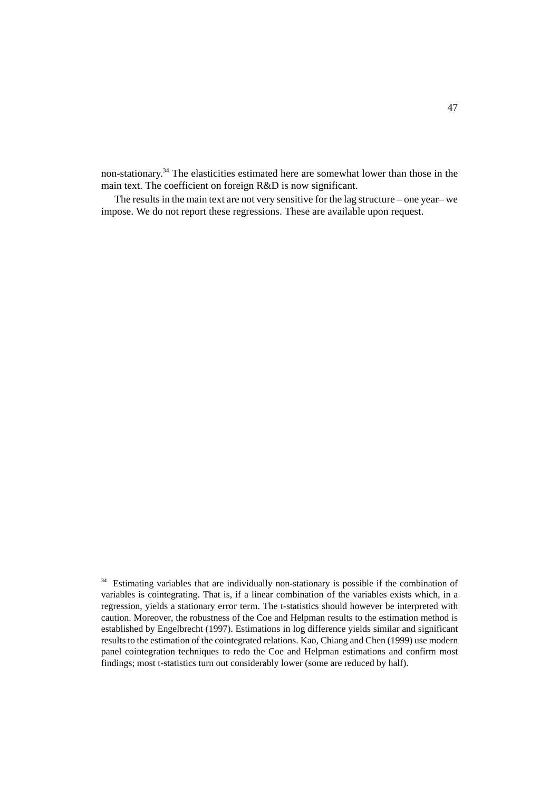non-stationary.34 The elasticities estimated here are somewhat lower than those in the main text. The coefficient on foreign R&D is now significant.

The results in the main text are not very sensitive for the lag structure – one year– we impose. We do not report these regressions. These are available upon request.

<sup>&</sup>lt;sup>34</sup> Estimating variables that are individually non-stationary is possible if the combination of variables is cointegrating. That is, if a linear combination of the variables exists which, in a regression, yields a stationary error term. The t-statistics should however be interpreted with caution. Moreover, the robustness of the Coe and Helpman results to the estimation method is established by Engelbrecht (1997). Estimations in log difference yields similar and significant results to the estimation of the cointegrated relations. Kao, Chiang and Chen (1999) use modern panel cointegration techniques to redo the Coe and Helpman estimations and confirm most findings; most t-statistics turn out considerably lower (some are reduced by half).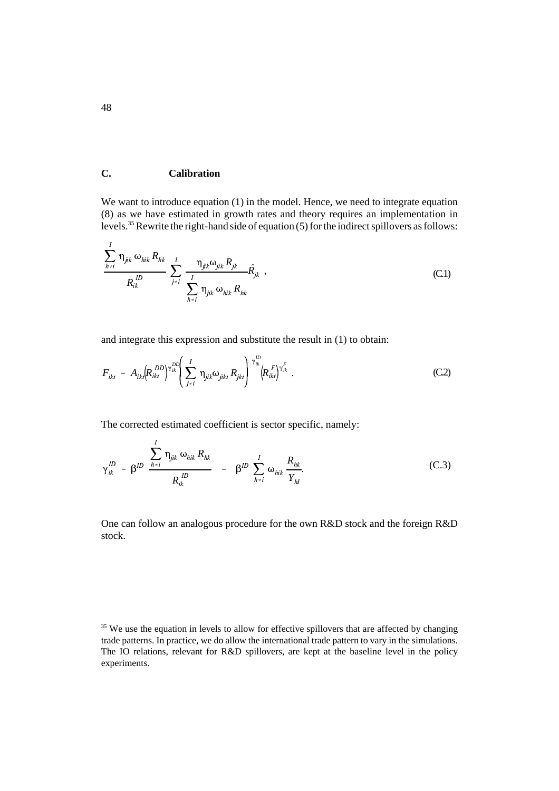# **C. Calibration**

We want to introduce equation (1) in the model. Hence, we need to integrate equation (8) as we have estimated in growth rates and theory requires an implementation in levels.35 Rewrite the right-hand side of equation (5) for the indirect spillovers as follows:

$$
\frac{\sum_{h\neq i}^{I} \eta_{jik} \omega_{hik} R_{hk}}{R_{ik}^{ID}} \sum_{j\neq i}^{I} \frac{\eta_{jik} \omega_{jik} R_{jk}}{\sum_{h\neq i}^{I} \eta_{jik} \omega_{hik} R_{hk}}
$$
 (C.1)

and integrate this expression and substitute the result in (1) to obtain:

$$
F_{ikt} = A_{ikt} (R_{ikt}^{DD})^{\gamma_{ik}^{DD}} \left( \sum_{j \neq i}^{I} \eta_{jik} \omega_{jikt} R_{jkt} \right)^{\gamma_{ik}^{DD}} \left( R_{ikt}^{F} \right)^{\gamma_{ik}^{F}}.
$$
 (C.2)

The corrected estimated coefficient is sector specific, namely:

$$
\gamma_{ik}^{\mathcal{D}} = \beta^{\mathcal{D}} \frac{\sum_{h \neq i}^{I} \eta_{jik} \omega_{hik} R_{hk}}{R_{ik}^{\mathcal{D}}} = \beta^{\mathcal{D}} \sum_{h \neq i}^{I} \omega_{hik} \frac{R_{hk}}{Y_{hl}}.
$$
 (C.3)

One can follow an analogous procedure for the own R&D stock and the foreign R&D stock.

<sup>&</sup>lt;sup>35</sup> We use the equation in levels to allow for effective spillovers that are affected by changing trade patterns. In practice, we do allow the international trade pattern to vary in the simulations. The IO relations, relevant for R&D spillovers, are kept at the baseline level in the policy experiments.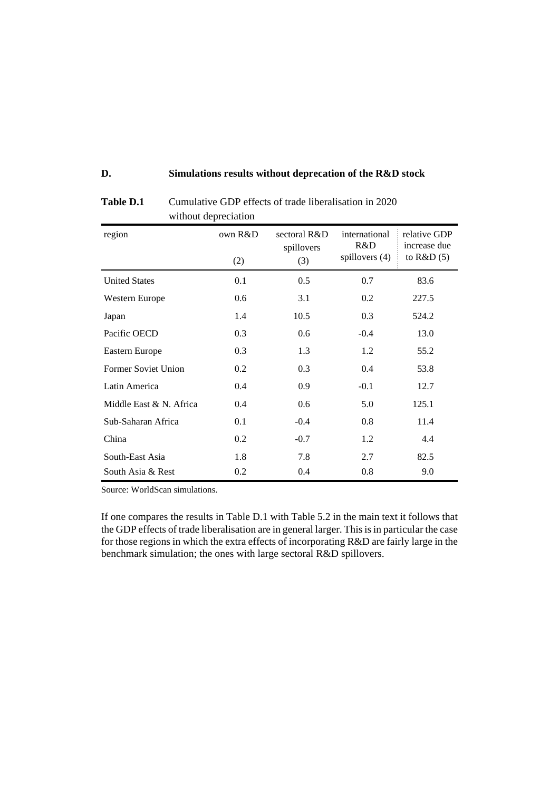# **D. Simulations results without deprecation of the R&D stock**

| region                     | own R&D<br>(2) | sectoral R&D<br>spillovers<br>(3) | international<br>R&D<br>spillovers (4) | relative GDP<br>increase due<br>to $R&D(5)$ |
|----------------------------|----------------|-----------------------------------|----------------------------------------|---------------------------------------------|
| <b>United States</b>       | 0.1            | 0.5                               | 0.7                                    | 83.6                                        |
| Western Europe             | 0.6            | 3.1                               | 0.2                                    | 227.5                                       |
| Japan                      | 1.4            | 10.5                              | 0.3                                    | 524.2                                       |
| Pacific OECD               | 0.3            | 0.6                               | $-0.4$                                 | 13.0                                        |
| Eastern Europe             | 0.3            | 1.3                               | 1.2                                    | 55.2                                        |
| <b>Former Soviet Union</b> | 0.2            | 0.3                               | 0.4                                    | 53.8                                        |
| Latin America              | 0.4            | 0.9                               | $-0.1$                                 | 12.7                                        |
| Middle East & N. Africa    | 0.4            | 0.6                               | 5.0                                    | 125.1                                       |
| Sub-Saharan Africa         | 0.1            | $-0.4$                            | 0.8                                    | 11.4                                        |
| China                      | 0.2            | $-0.7$                            | 1.2                                    | 4.4                                         |
| South-East Asia            | 1.8            | 7.8                               | 2.7                                    | 82.5                                        |
| South Asia & Rest          | 0.2            | 0.4                               | 0.8                                    | 9.0                                         |

Table D.1 Cumulative GDP effects of trade liberalisation in 2020 without depreciation

Source: WorldScan simulations.

If one compares the results in Table D.1 with Table 5.2 in the main text it follows that the GDP effects of trade liberalisation are in general larger. This is in particular the case for those regions in which the extra effects of incorporating R&D are fairly large in the benchmark simulation; the ones with large sectoral R&D spillovers.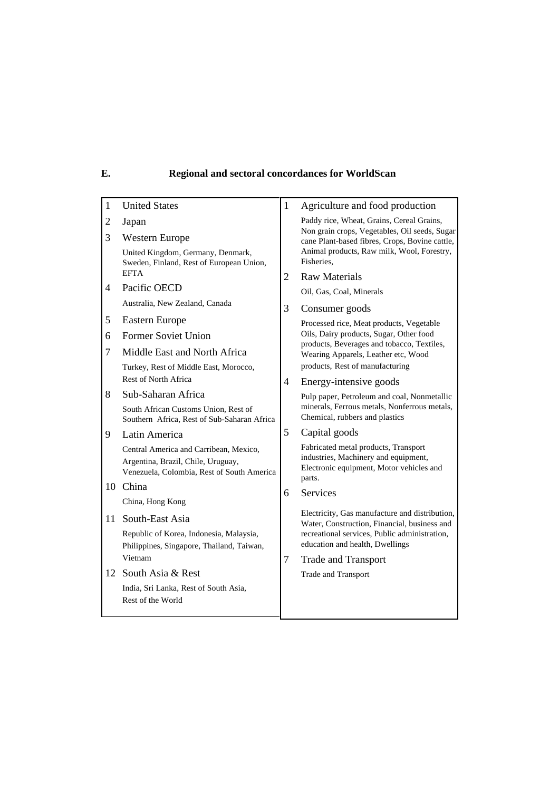# **E. Regional and sectoral concordances for WorldScan**

| $\mathbf{1}$ | <b>United States</b>                                                                                                       | 1              | Agriculture and food production                                                                                                    |  |
|--------------|----------------------------------------------------------------------------------------------------------------------------|----------------|------------------------------------------------------------------------------------------------------------------------------------|--|
| 2            | Japan                                                                                                                      |                | Paddy rice, Wheat, Grains, Cereal Grains,                                                                                          |  |
| 3            | Western Europe                                                                                                             |                | Non grain crops, Vegetables, Oil seeds, Sugar<br>cane Plant-based fibres, Crops, Bovine cattle,                                    |  |
|              | United Kingdom, Germany, Denmark,<br>Sweden, Finland, Rest of European Union,                                              |                | Animal products, Raw milk, Wool, Forestry,<br>Fisheries,                                                                           |  |
|              | <b>EFTA</b>                                                                                                                | $\overline{c}$ | <b>Raw Materials</b>                                                                                                               |  |
| 4            | Pacific OECD                                                                                                               |                | Oil, Gas, Coal, Minerals                                                                                                           |  |
|              | Australia, New Zealand, Canada                                                                                             | 3              | Consumer goods                                                                                                                     |  |
| 5            | <b>Eastern Europe</b>                                                                                                      |                | Processed rice, Meat products, Vegetable                                                                                           |  |
| 6            | <b>Former Soviet Union</b>                                                                                                 |                | Oils, Dairy products, Sugar, Other food                                                                                            |  |
| 7            | Middle East and North Africa                                                                                               |                | products, Beverages and tobacco, Textiles,<br>Wearing Apparels, Leather etc, Wood                                                  |  |
|              | Turkey, Rest of Middle East, Morocco,                                                                                      |                | products, Rest of manufacturing                                                                                                    |  |
|              | Rest of North Africa                                                                                                       | $\overline{4}$ | Energy-intensive goods                                                                                                             |  |
| 8            | Sub-Saharan Africa                                                                                                         |                | Pulp paper, Petroleum and coal, Nonmetallic                                                                                        |  |
|              | South African Customs Union, Rest of<br>Southern Africa, Rest of Sub-Saharan Africa                                        |                | minerals, Ferrous metals, Nonferrous metals,<br>Chemical, rubbers and plastics                                                     |  |
| 9            | Latin America                                                                                                              | 5              | Capital goods                                                                                                                      |  |
|              | Central America and Carribean, Mexico,<br>Argentina, Brazil, Chile, Uruguay,<br>Venezuela, Colombia, Rest of South America |                | Fabricated metal products, Transport<br>industries, Machinery and equipment,<br>Electronic equipment, Motor vehicles and<br>parts. |  |
| 10           | China                                                                                                                      | 6              | Services                                                                                                                           |  |
|              | China, Hong Kong                                                                                                           |                |                                                                                                                                    |  |
| 11           | South-East Asia                                                                                                            |                | Electricity, Gas manufacture and distribution,<br>Water, Construction, Financial, business and                                     |  |
|              | Republic of Korea, Indonesia, Malaysia,<br>Philippines, Singapore, Thailand, Taiwan,                                       |                | recreational services, Public administration,<br>education and health, Dwellings                                                   |  |
|              | Vietnam                                                                                                                    | 7              | <b>Trade and Transport</b>                                                                                                         |  |
| 12           | South Asia & Rest                                                                                                          |                | Trade and Transport                                                                                                                |  |
|              | India, Sri Lanka, Rest of South Asia,<br>Rest of the World                                                                 |                |                                                                                                                                    |  |
|              |                                                                                                                            |                |                                                                                                                                    |  |